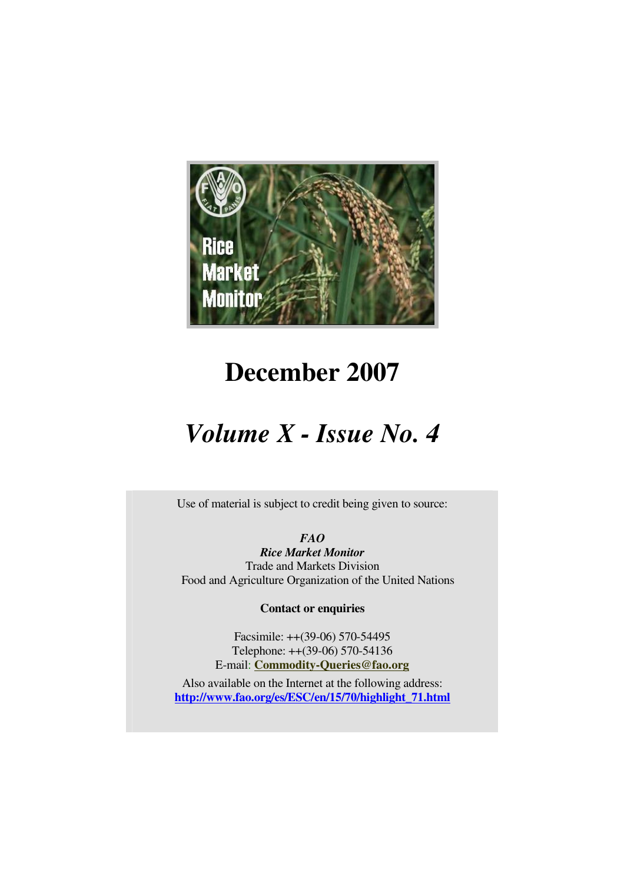

# **December 2007**

# *Volume X - Issue No. 4*

Use of material is subject to credit being given to source:

*FAO Rice Market Monitor*  Trade and Markets Division Food and Agriculture Organization of the United Nations

**Contact or enquiries**

Facsimile: ++(39-06) 570-54495 Telephone: ++(39-06) 570-54136 E-mail: **Commodity-Queries@fao.org**

Also available on the Internet at the following address: **http://www.fao.org/es/ESC/en/15/70/highlight\_71.html**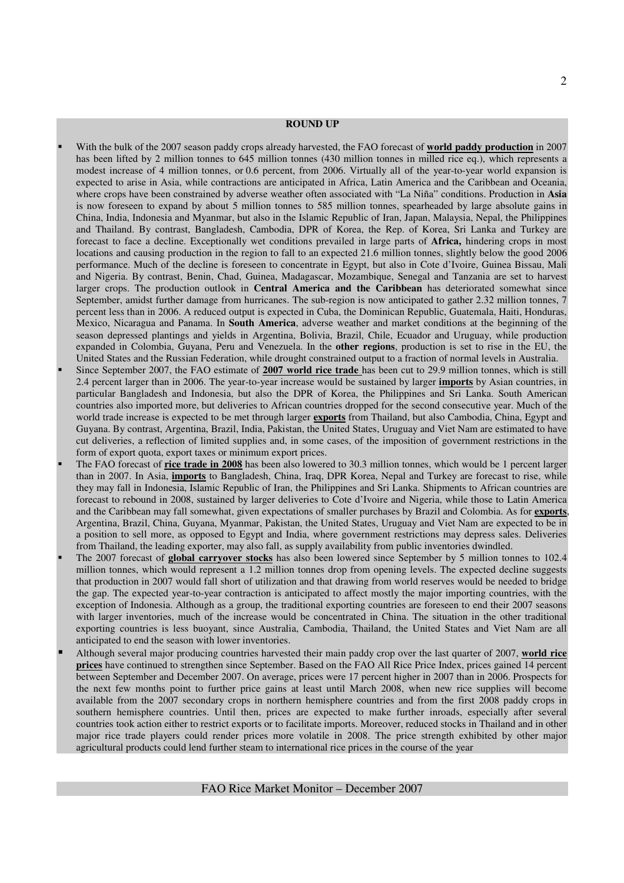#### **ROUND UP**

- With the bulk of the 2007 season paddy crops already harvested, the FAO forecast of **world paddy production** in 2007 has been lifted by 2 million tonnes to 645 million tonnes (430 million tonnes in milled rice eq.), which represents a modest increase of 4 million tonnes, or 0.6 percent, from 2006. Virtually all of the year-to-year world expansion is expected to arise in Asia, while contractions are anticipated in Africa, Latin America and the Caribbean and Oceania, where crops have been constrained by adverse weather often associated with "La Niña" conditions. Production in **Asia** is now foreseen to expand by about 5 million tonnes to 585 million tonnes, spearheaded by large absolute gains in China, India, Indonesia and Myanmar, but also in the Islamic Republic of Iran, Japan, Malaysia, Nepal, the Philippines and Thailand. By contrast, Bangladesh, Cambodia, DPR of Korea, the Rep. of Korea, Sri Lanka and Turkey are forecast to face a decline. Exceptionally wet conditions prevailed in large parts of **Africa,** hindering crops in most locations and causing production in the region to fall to an expected 21.6 million tonnes, slightly below the good 2006 performance. Much of the decline is foreseen to concentrate in Egypt, but also in Cote d'Ivoire, Guinea Bissau, Mali and Nigeria. By contrast, Benin, Chad, Guinea, Madagascar, Mozambique, Senegal and Tanzania are set to harvest larger crops. The production outlook in **Central America and the Caribbean** has deteriorated somewhat since September, amidst further damage from hurricanes. The sub-region is now anticipated to gather 2.32 million tonnes, 7 percent less than in 2006. A reduced output is expected in Cuba, the Dominican Republic, Guatemala, Haiti, Honduras, Mexico, Nicaragua and Panama. In **South America**, adverse weather and market conditions at the beginning of the season depressed plantings and yields in Argentina, Bolivia, Brazil, Chile, Ecuador and Uruguay, while production expanded in Colombia, Guyana, Peru and Venezuela. In the **other regions**, production is set to rise in the EU, the United States and the Russian Federation, while drought constrained output to a fraction of normal levels in Australia.
- Since September 2007, the FAO estimate of **2007 world rice trade** has been cut to 29.9 million tonnes, which is still 2.4 percent larger than in 2006. The year-to-year increase would be sustained by larger **imports** by Asian countries, in particular Bangladesh and Indonesia, but also the DPR of Korea, the Philippines and Sri Lanka. South American countries also imported more, but deliveries to African countries dropped for the second consecutive year. Much of the world trade increase is expected to be met through larger **exports** from Thailand, but also Cambodia, China, Egypt and Guyana. By contrast, Argentina, Brazil, India, Pakistan, the United States, Uruguay and Viet Nam are estimated to have cut deliveries, a reflection of limited supplies and, in some cases, of the imposition of government restrictions in the form of export quota, export taxes or minimum export prices.
- The FAO forecast of **rice trade in 2008** has been also lowered to 30.3 million tonnes, which would be 1 percent larger than in 2007. In Asia, **imports** to Bangladesh, China, Iraq, DPR Korea, Nepal and Turkey are forecast to rise, while they may fall in Indonesia, Islamic Republic of Iran, the Philippines and Sri Lanka. Shipments to African countries are forecast to rebound in 2008, sustained by larger deliveries to Cote d'Ivoire and Nigeria, while those to Latin America and the Caribbean may fall somewhat, given expectations of smaller purchases by Brazil and Colombia. As for **exports**, Argentina, Brazil, China, Guyana, Myanmar, Pakistan, the United States, Uruguay and Viet Nam are expected to be in a position to sell more, as opposed to Egypt and India, where government restrictions may depress sales. Deliveries from Thailand, the leading exporter, may also fall, as supply availability from public inventories dwindled.
- The 2007 forecast of **global carryover stocks** has also been lowered since September by 5 million tonnes to 102.4 million tonnes, which would represent a 1.2 million tonnes drop from opening levels. The expected decline suggests that production in 2007 would fall short of utilization and that drawing from world reserves would be needed to bridge the gap. The expected year-to-year contraction is anticipated to affect mostly the major importing countries, with the exception of Indonesia. Although as a group, the traditional exporting countries are foreseen to end their 2007 seasons with larger inventories, much of the increase would be concentrated in China. The situation in the other traditional exporting countries is less buoyant, since Australia, Cambodia, Thailand, the United States and Viet Nam are all anticipated to end the season with lower inventories.
- Although several major producing countries harvested their main paddy crop over the last quarter of 2007, **world rice prices** have continued to strengthen since September. Based on the FAO All Rice Price Index, prices gained 14 percent between September and December 2007. On average, prices were 17 percent higher in 2007 than in 2006. Prospects for the next few months point to further price gains at least until March 2008, when new rice supplies will become available from the 2007 secondary crops in northern hemisphere countries and from the first 2008 paddy crops in southern hemisphere countries. Until then, prices are expected to make further inroads, especially after several countries took action either to restrict exports or to facilitate imports. Moreover, reduced stocks in Thailand and in other major rice trade players could render prices more volatile in 2008. The price strength exhibited by other major agricultural products could lend further steam to international rice prices in the course of the year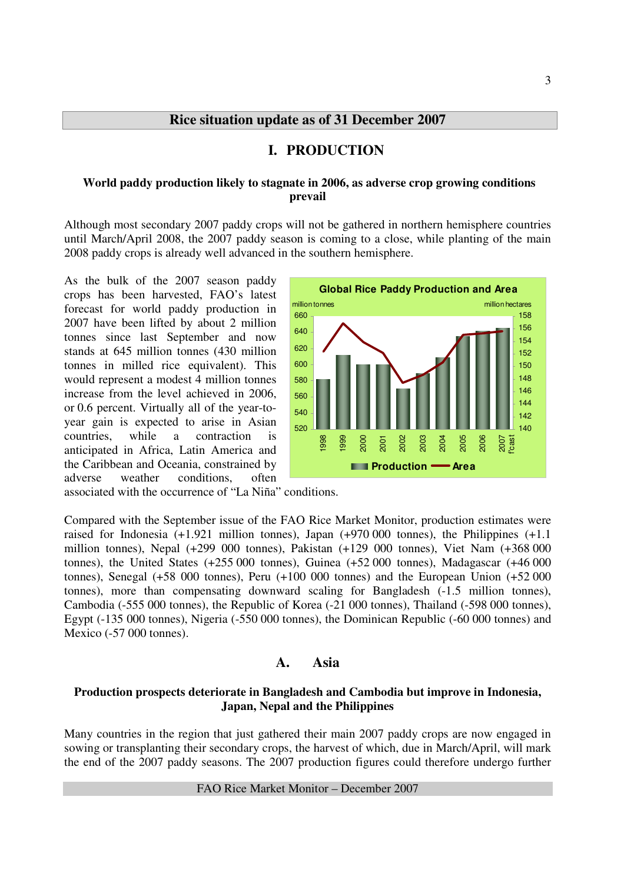## **I. PRODUCTION**

#### **World paddy production likely to stagnate in 2006, as adverse crop growing conditions prevail**

Although most secondary 2007 paddy crops will not be gathered in northern hemisphere countries until March/April 2008, the 2007 paddy season is coming to a close, while planting of the main 2008 paddy crops is already well advanced in the southern hemisphere.

As the bulk of the 2007 season paddy crops has been harvested, FAO's latest forecast for world paddy production in 2007 have been lifted by about 2 million tonnes since last September and now stands at 645 million tonnes (430 million tonnes in milled rice equivalent). This would represent a modest 4 million tonnes increase from the level achieved in 2006, or 0.6 percent. Virtually all of the year-toyear gain is expected to arise in Asian countries, while a contraction is anticipated in Africa, Latin America and the Caribbean and Oceania, constrained by adverse weather conditions, often



associated with the occurrence of "La Niña" conditions.

Compared with the September issue of the FAO Rice Market Monitor, production estimates were raised for Indonesia  $(+1.921$  million tonnes), Japan  $(+970\,000$  tonnes), the Philippines  $(+1.1$ million tonnes), Nepal (+299 000 tonnes), Pakistan (+129 000 tonnes), Viet Nam (+368 000 tonnes), the United States (+255 000 tonnes), Guinea (+52 000 tonnes), Madagascar (+46 000 tonnes), Senegal (+58 000 tonnes), Peru (+100 000 tonnes) and the European Union (+52 000 tonnes), more than compensating downward scaling for Bangladesh (-1.5 million tonnes), Cambodia (-555 000 tonnes), the Republic of Korea (-21 000 tonnes), Thailand (-598 000 tonnes), Egypt (-135 000 tonnes), Nigeria (-550 000 tonnes), the Dominican Republic (-60 000 tonnes) and Mexico (-57 000 tonnes).

#### **A. Asia**

#### **Production prospects deteriorate in Bangladesh and Cambodia but improve in Indonesia, Japan, Nepal and the Philippines**

Many countries in the region that just gathered their main 2007 paddy crops are now engaged in sowing or transplanting their secondary crops, the harvest of which, due in March/April, will mark the end of the 2007 paddy seasons. The 2007 production figures could therefore undergo further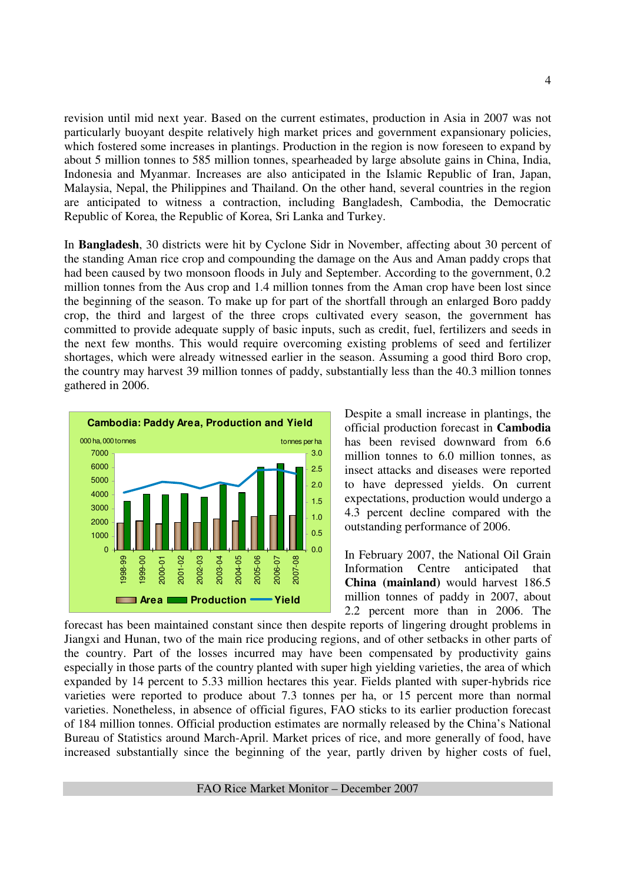revision until mid next year. Based on the current estimates, production in Asia in 2007 was not particularly buoyant despite relatively high market prices and government expansionary policies, which fostered some increases in plantings. Production in the region is now foreseen to expand by about 5 million tonnes to 585 million tonnes, spearheaded by large absolute gains in China, India, Indonesia and Myanmar. Increases are also anticipated in the Islamic Republic of Iran, Japan, Malaysia, Nepal, the Philippines and Thailand. On the other hand, several countries in the region are anticipated to witness a contraction, including Bangladesh, Cambodia, the Democratic Republic of Korea, the Republic of Korea, Sri Lanka and Turkey.

In **Bangladesh**, 30 districts were hit by Cyclone Sidr in November, affecting about 30 percent of the standing Aman rice crop and compounding the damage on the Aus and Aman paddy crops that had been caused by two monsoon floods in July and September. According to the government, 0.2 million tonnes from the Aus crop and 1.4 million tonnes from the Aman crop have been lost since the beginning of the season. To make up for part of the shortfall through an enlarged Boro paddy crop, the third and largest of the three crops cultivated every season, the government has committed to provide adequate supply of basic inputs, such as credit, fuel, fertilizers and seeds in the next few months. This would require overcoming existing problems of seed and fertilizer shortages, which were already witnessed earlier in the season. Assuming a good third Boro crop, the country may harvest 39 million tonnes of paddy, substantially less than the 40.3 million tonnes gathered in 2006.



Despite a small increase in plantings, the official production forecast in **Cambodia** has been revised downward from 6.6 million tonnes to 6.0 million tonnes, as insect attacks and diseases were reported to have depressed yields. On current expectations, production would undergo a 4.3 percent decline compared with the outstanding performance of 2006.

In February 2007, the National Oil Grain Information Centre anticipated that **China (mainland)** would harvest 186.5 million tonnes of paddy in 2007, about 2.2 percent more than in 2006. The

forecast has been maintained constant since then despite reports of lingering drought problems in Jiangxi and Hunan, two of the main rice producing regions, and of other setbacks in other parts of the country. Part of the losses incurred may have been compensated by productivity gains especially in those parts of the country planted with super high yielding varieties, the area of which expanded by 14 percent to 5.33 million hectares this year. Fields planted with super-hybrids rice varieties were reported to produce about 7.3 tonnes per ha, or 15 percent more than normal varieties. Nonetheless, in absence of official figures, FAO sticks to its earlier production forecast of 184 million tonnes. Official production estimates are normally released by the China's National Bureau of Statistics around March-April. Market prices of rice, and more generally of food, have increased substantially since the beginning of the year, partly driven by higher costs of fuel,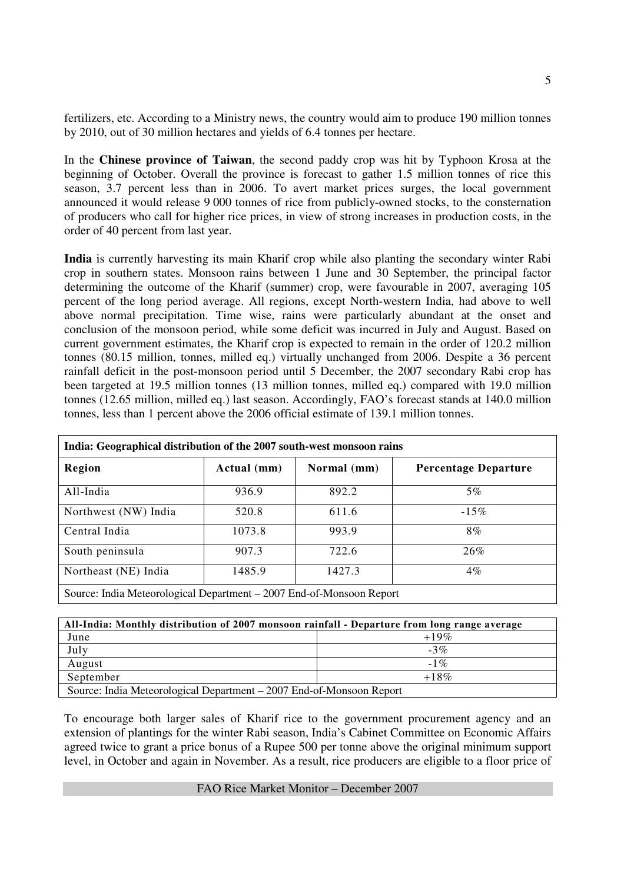fertilizers, etc. According to a Ministry news, the country would aim to produce 190 million tonnes by 2010, out of 30 million hectares and yields of 6.4 tonnes per hectare.

In the **Chinese province of Taiwan**, the second paddy crop was hit by Typhoon Krosa at the beginning of October. Overall the province is forecast to gather 1.5 million tonnes of rice this season, 3.7 percent less than in 2006. To avert market prices surges, the local government announced it would release 9 000 tonnes of rice from publicly-owned stocks, to the consternation of producers who call for higher rice prices, in view of strong increases in production costs, in the order of 40 percent from last year.

**India** is currently harvesting its main Kharif crop while also planting the secondary winter Rabi crop in southern states. Monsoon rains between 1 June and 30 September, the principal factor determining the outcome of the Kharif (summer) crop, were favourable in 2007, averaging 105 percent of the long period average. All regions, except North-western India, had above to well above normal precipitation. Time wise, rains were particularly abundant at the onset and conclusion of the monsoon period, while some deficit was incurred in July and August. Based on current government estimates, the Kharif crop is expected to remain in the order of 120.2 million tonnes (80.15 million, tonnes, milled eq.) virtually unchanged from 2006. Despite a 36 percent rainfall deficit in the post-monsoon period until 5 December, the 2007 secondary Rabi crop has been targeted at 19.5 million tonnes (13 million tonnes, milled eq.) compared with 19.0 million tonnes (12.65 million, milled eq.) last season. Accordingly, FAO's forecast stands at 140.0 million tonnes, less than 1 percent above the 2006 official estimate of 139.1 million tonnes.

| India: Geographical distribution of the 2007 south-west monsoon rains |             |             |                             |  |  |  |  |  |  |  |
|-----------------------------------------------------------------------|-------------|-------------|-----------------------------|--|--|--|--|--|--|--|
| Region                                                                | Actual (mm) | Normal (mm) | <b>Percentage Departure</b> |  |  |  |  |  |  |  |
| All-India                                                             | 936.9       | 892.2       | $5\%$                       |  |  |  |  |  |  |  |
| Northwest (NW) India                                                  | 520.8       | 611.6       | $-15\%$                     |  |  |  |  |  |  |  |
| Central India                                                         | 1073.8      | 993.9       | $8\%$                       |  |  |  |  |  |  |  |
| South peninsula                                                       | 907.3       | 722.6       | 26%                         |  |  |  |  |  |  |  |
| Northeast (NE) India                                                  | 1485.9      | 1427.3      | $4\%$                       |  |  |  |  |  |  |  |
| Source: India Meteorological Department – 2007 End-of-Monsoon Report  |             |             |                             |  |  |  |  |  |  |  |

| All-India: Monthly distribution of 2007 monsoon rainfall - Departure from long range average |         |  |  |  |  |  |  |  |
|----------------------------------------------------------------------------------------------|---------|--|--|--|--|--|--|--|
| June                                                                                         | $+19\%$ |  |  |  |  |  |  |  |
| July                                                                                         | $-3\%$  |  |  |  |  |  |  |  |
| August                                                                                       | $-1\%$  |  |  |  |  |  |  |  |
| September                                                                                    | $+18\%$ |  |  |  |  |  |  |  |
| Source: India Meteorological Department – 2007 End-of-Monsoon Report                         |         |  |  |  |  |  |  |  |

To encourage both larger sales of Kharif rice to the government procurement agency and an extension of plantings for the winter Rabi season, India's Cabinet Committee on Economic Affairs agreed twice to grant a price bonus of a Rupee 500 per tonne above the original minimum support level, in October and again in November. As a result, rice producers are eligible to a floor price of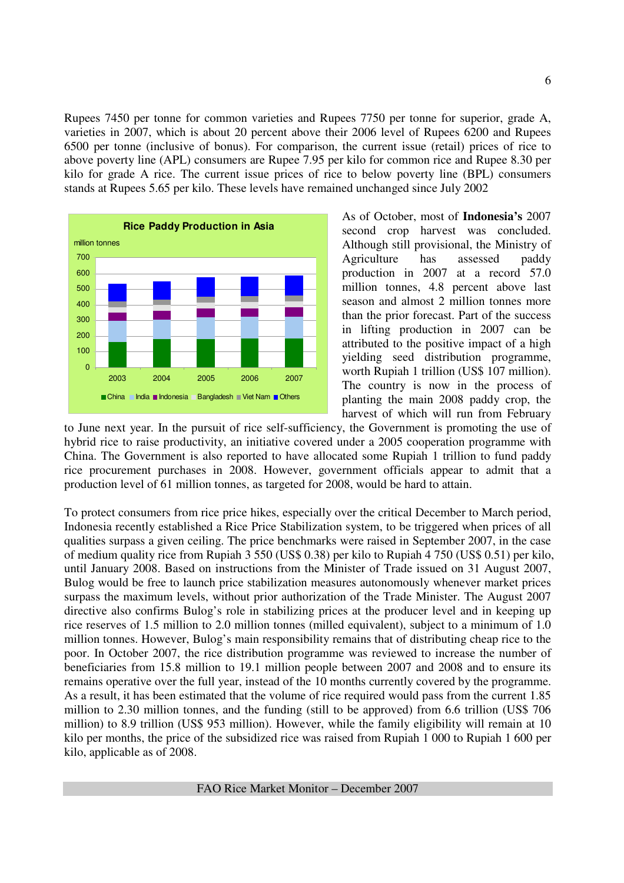Rupees 7450 per tonne for common varieties and Rupees 7750 per tonne for superior, grade A, varieties in 2007, which is about 20 percent above their 2006 level of Rupees 6200 and Rupees 6500 per tonne (inclusive of bonus). For comparison, the current issue (retail) prices of rice to above poverty line (APL) consumers are Rupee 7.95 per kilo for common rice and Rupee 8.30 per kilo for grade A rice. The current issue prices of rice to below poverty line (BPL) consumers stands at Rupees 5.65 per kilo. These levels have remained unchanged since July 2002



As of October, most of **Indonesia's** 2007 second crop harvest was concluded. Although still provisional, the Ministry of Agriculture has assessed paddy production in 2007 at a record 57.0 million tonnes, 4.8 percent above last season and almost 2 million tonnes more than the prior forecast. Part of the success in lifting production in 2007 can be attributed to the positive impact of a high yielding seed distribution programme, worth Rupiah 1 trillion (US\$ 107 million). The country is now in the process of planting the main 2008 paddy crop, the harvest of which will run from February

to June next year. In the pursuit of rice self-sufficiency, the Government is promoting the use of hybrid rice to raise productivity, an initiative covered under a 2005 cooperation programme with China. The Government is also reported to have allocated some Rupiah 1 trillion to fund paddy rice procurement purchases in 2008. However, government officials appear to admit that a production level of 61 million tonnes, as targeted for 2008, would be hard to attain.

To protect consumers from rice price hikes, especially over the critical December to March period, Indonesia recently established a Rice Price Stabilization system, to be triggered when prices of all qualities surpass a given ceiling. The price benchmarks were raised in September 2007, in the case of medium quality rice from Rupiah 3 550 (US\$ 0.38) per kilo to Rupiah 4 750 (US\$ 0.51) per kilo, until January 2008. Based on instructions from the Minister of Trade issued on 31 August 2007, Bulog would be free to launch price stabilization measures autonomously whenever market prices surpass the maximum levels, without prior authorization of the Trade Minister. The August 2007 directive also confirms Bulog's role in stabilizing prices at the producer level and in keeping up rice reserves of 1.5 million to 2.0 million tonnes (milled equivalent), subject to a minimum of 1.0 million tonnes. However, Bulog's main responsibility remains that of distributing cheap rice to the poor. In October 2007, the rice distribution programme was reviewed to increase the number of beneficiaries from 15.8 million to 19.1 million people between 2007 and 2008 and to ensure its remains operative over the full year, instead of the 10 months currently covered by the programme. As a result, it has been estimated that the volume of rice required would pass from the current 1.85 million to 2.30 million tonnes, and the funding (still to be approved) from 6.6 trillion (US\$ 706 million) to 8.9 trillion (US\$ 953 million). However, while the family eligibility will remain at 10 kilo per months, the price of the subsidized rice was raised from Rupiah 1 000 to Rupiah 1 600 per kilo, applicable as of 2008.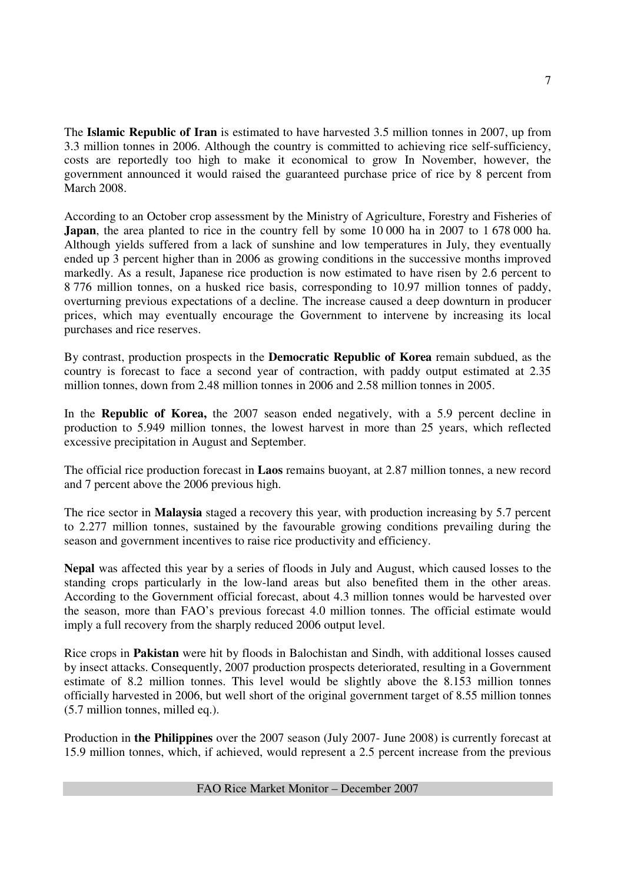The **Islamic Republic of Iran** is estimated to have harvested 3.5 million tonnes in 2007, up from 3.3 million tonnes in 2006. Although the country is committed to achieving rice self-sufficiency, costs are reportedly too high to make it economical to grow In November, however, the government announced it would raised the guaranteed purchase price of rice by 8 percent from March 2008.

According to an October crop assessment by the Ministry of Agriculture, Forestry and Fisheries of **Japan**, the area planted to rice in the country fell by some 10 000 ha in 2007 to 1 678 000 ha. Although yields suffered from a lack of sunshine and low temperatures in July, they eventually ended up 3 percent higher than in 2006 as growing conditions in the successive months improved markedly. As a result, Japanese rice production is now estimated to have risen by 2.6 percent to 8 776 million tonnes, on a husked rice basis, corresponding to 10.97 million tonnes of paddy, overturning previous expectations of a decline. The increase caused a deep downturn in producer prices, which may eventually encourage the Government to intervene by increasing its local purchases and rice reserves.

By contrast, production prospects in the **Democratic Republic of Korea** remain subdued, as the country is forecast to face a second year of contraction, with paddy output estimated at 2.35 million tonnes, down from 2.48 million tonnes in 2006 and 2.58 million tonnes in 2005.

In the **Republic of Korea,** the 2007 season ended negatively, with a 5.9 percent decline in production to 5.949 million tonnes, the lowest harvest in more than 25 years, which reflected excessive precipitation in August and September.

The official rice production forecast in **Laos** remains buoyant, at 2.87 million tonnes, a new record and 7 percent above the 2006 previous high.

The rice sector in **Malaysia** staged a recovery this year, with production increasing by 5.7 percent to 2.277 million tonnes, sustained by the favourable growing conditions prevailing during the season and government incentives to raise rice productivity and efficiency.

**Nepal** was affected this year by a series of floods in July and August, which caused losses to the standing crops particularly in the low-land areas but also benefited them in the other areas. According to the Government official forecast, about 4.3 million tonnes would be harvested over the season, more than FAO's previous forecast 4.0 million tonnes. The official estimate would imply a full recovery from the sharply reduced 2006 output level.

Rice crops in **Pakistan** were hit by floods in Balochistan and Sindh, with additional losses caused by insect attacks. Consequently, 2007 production prospects deteriorated, resulting in a Government estimate of 8.2 million tonnes. This level would be slightly above the 8.153 million tonnes officially harvested in 2006, but well short of the original government target of 8.55 million tonnes (5.7 million tonnes, milled eq.).

Production in **the Philippines** over the 2007 season (July 2007- June 2008) is currently forecast at 15.9 million tonnes, which, if achieved, would represent a 2.5 percent increase from the previous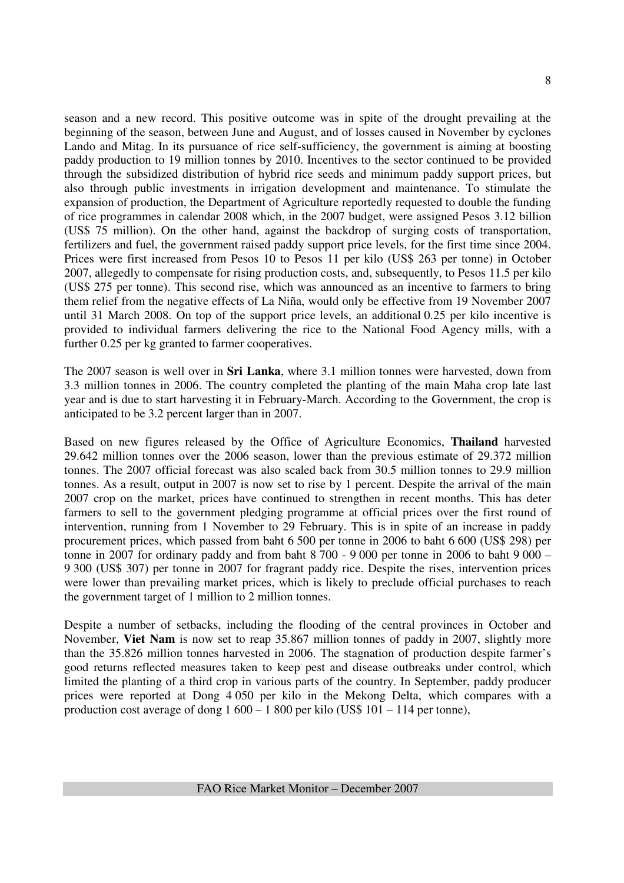season and a new record. This positive outcome was in spite of the drought prevailing at the beginning of the season, between June and August, and of losses caused in November by cyclones Lando and Mitag. In its pursuance of rice self-sufficiency, the government is aiming at boosting paddy production to 19 million tonnes by 2010. Incentives to the sector continued to be provided through the subsidized distribution of hybrid rice seeds and minimum paddy support prices, but also through public investments in irrigation development and maintenance. To stimulate the expansion of production, the Department of Agriculture reportedly requested to double the funding of rice programmes in calendar 2008 which, in the 2007 budget, were assigned Pesos 3.12 billion (US\$ 75 million). On the other hand, against the backdrop of surging costs of transportation, fertilizers and fuel, the government raised paddy support price levels, for the first time since 2004. Prices were first increased from Pesos 10 to Pesos 11 per kilo (US\$ 263 per tonne) in October 2007, allegedly to compensate for rising production costs, and, subsequently, to Pesos 11.5 per kilo (US\$ 275 per tonne). This second rise, which was announced as an incentive to farmers to bring them relief from the negative effects of La Niña, would only be effective from 19 November 2007 until 31 March 2008. On top of the support price levels, an additional 0.25 per kilo incentive is provided to individual farmers delivering the rice to the National Food Agency mills, with a further 0.25 per kg granted to farmer cooperatives.

The 2007 season is well over in **Sri Lanka**, where 3.1 million tonnes were harvested, down from 3.3 million tonnes in 2006. The country completed the planting of the main Maha crop late last year and is due to start harvesting it in February-March. According to the Government, the crop is anticipated to be 3.2 percent larger than in 2007.

Based on new figures released by the Office of Agriculture Economics, **Thailand** harvested 29.642 million tonnes over the 2006 season, lower than the previous estimate of 29.372 million tonnes. The 2007 official forecast was also scaled back from 30.5 million tonnes to 29.9 million tonnes. As a result, output in 2007 is now set to rise by 1 percent. Despite the arrival of the main 2007 crop on the market, prices have continued to strengthen in recent months. This has deter farmers to sell to the government pledging programme at official prices over the first round of intervention, running from 1 November to 29 February. This is in spite of an increase in paddy procurement prices, which passed from baht 6 500 per tonne in 2006 to baht 6 600 (US\$ 298) per tonne in 2007 for ordinary paddy and from baht  $8700 - 9000$  per tonne in 2006 to baht  $9000 -$ 9 300 (US\$ 307) per tonne in 2007 for fragrant paddy rice. Despite the rises, intervention prices were lower than prevailing market prices, which is likely to preclude official purchases to reach the government target of 1 million to 2 million tonnes.

Despite a number of setbacks, including the flooding of the central provinces in October and November, **Viet Nam** is now set to reap 35.867 million tonnes of paddy in 2007, slightly more than the 35.826 million tonnes harvested in 2006. The stagnation of production despite farmer's good returns reflected measures taken to keep pest and disease outbreaks under control, which limited the planting of a third crop in various parts of the country. In September, paddy producer prices were reported at Dong 4 050 per kilo in the Mekong Delta, which compares with a production cost average of dong  $1\,600 - 1\,800$  per kilo (US\$ 101 – 114 per tonne),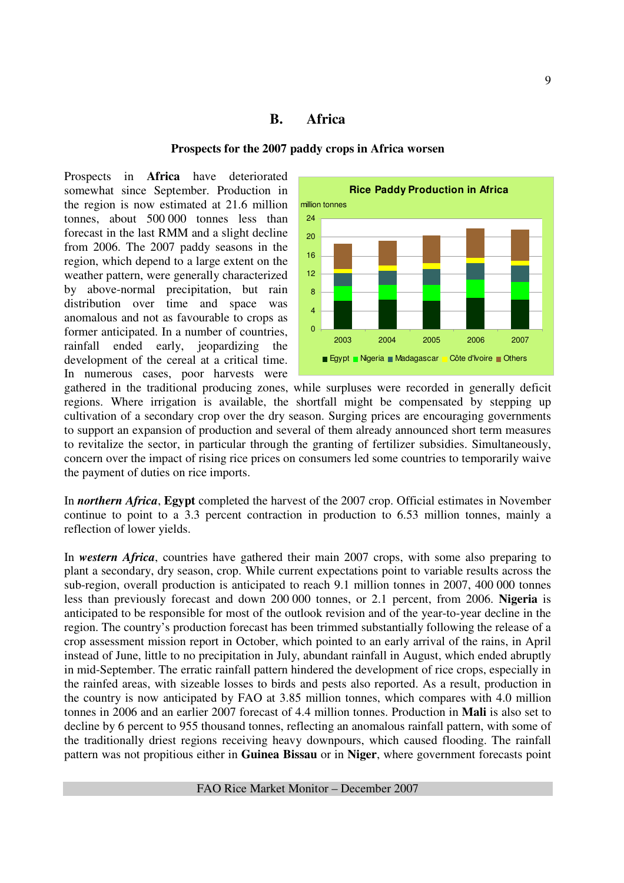# **B. Africa**

#### **Prospects for the 2007 paddy crops in Africa worsen**

Prospects in **Africa** have deteriorated somewhat since September. Production in the region is now estimated at 21.6 million tonnes, about 500 000 tonnes less than forecast in the last RMM and a slight decline from 2006. The 2007 paddy seasons in the region, which depend to a large extent on the weather pattern, were generally characterized by above-normal precipitation, but rain distribution over time and space was anomalous and not as favourable to crops as former anticipated. In a number of countries, rainfall ended early, jeopardizing the development of the cereal at a critical time. In numerous cases, poor harvests were



gathered in the traditional producing zones, while surpluses were recorded in generally deficit regions. Where irrigation is available, the shortfall might be compensated by stepping up cultivation of a secondary crop over the dry season. Surging prices are encouraging governments to support an expansion of production and several of them already announced short term measures to revitalize the sector, in particular through the granting of fertilizer subsidies. Simultaneously, concern over the impact of rising rice prices on consumers led some countries to temporarily waive the payment of duties on rice imports.

In *northern Africa*, **Egypt** completed the harvest of the 2007 crop. Official estimates in November continue to point to a 3.3 percent contraction in production to 6.53 million tonnes, mainly a reflection of lower yields.

In *western Africa*, countries have gathered their main 2007 crops, with some also preparing to plant a secondary, dry season, crop. While current expectations point to variable results across the sub-region, overall production is anticipated to reach 9.1 million tonnes in 2007, 400 000 tonnes less than previously forecast and down 200 000 tonnes, or 2.1 percent, from 2006. **Nigeria** is anticipated to be responsible for most of the outlook revision and of the year-to-year decline in the region. The country's production forecast has been trimmed substantially following the release of a crop assessment mission report in October, which pointed to an early arrival of the rains, in April instead of June, little to no precipitation in July, abundant rainfall in August, which ended abruptly in mid-September. The erratic rainfall pattern hindered the development of rice crops, especially in the rainfed areas, with sizeable losses to birds and pests also reported. As a result, production in the country is now anticipated by FAO at 3.85 million tonnes, which compares with 4.0 million tonnes in 2006 and an earlier 2007 forecast of 4.4 million tonnes. Production in **Mali** is also set to decline by 6 percent to 955 thousand tonnes, reflecting an anomalous rainfall pattern, with some of the traditionally driest regions receiving heavy downpours, which caused flooding. The rainfall pattern was not propitious either in **Guinea Bissau** or in **Niger**, where government forecasts point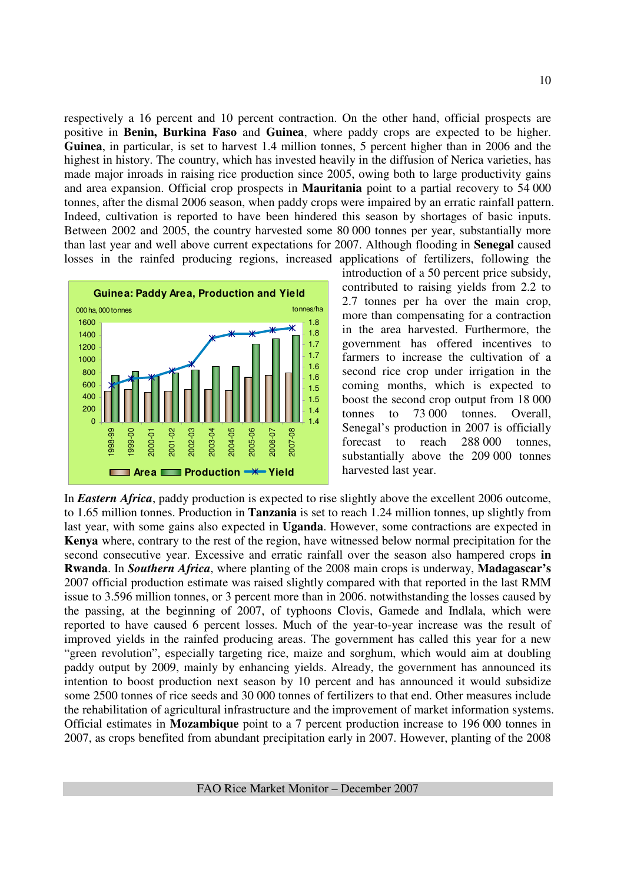respectively a 16 percent and 10 percent contraction. On the other hand, official prospects are positive in **Benin, Burkina Faso** and **Guinea**, where paddy crops are expected to be higher. **Guinea**, in particular, is set to harvest 1.4 million tonnes, 5 percent higher than in 2006 and the highest in history. The country, which has invested heavily in the diffusion of Nerica varieties, has made major inroads in raising rice production since 2005, owing both to large productivity gains and area expansion. Official crop prospects in **Mauritania** point to a partial recovery to 54 000 tonnes, after the dismal 2006 season, when paddy crops were impaired by an erratic rainfall pattern. Indeed, cultivation is reported to have been hindered this season by shortages of basic inputs. Between 2002 and 2005, the country harvested some 80 000 tonnes per year, substantially more than last year and well above current expectations for 2007. Although flooding in **Senegal** caused losses in the rainfed producing regions, increased applications of fertilizers, following the



introduction of a 50 percent price subsidy, contributed to raising yields from 2.2 to 2.7 tonnes per ha over the main crop, more than compensating for a contraction in the area harvested. Furthermore, the government has offered incentives to farmers to increase the cultivation of a second rice crop under irrigation in the coming months, which is expected to boost the second crop output from 18 000 tonnes to 73 000 tonnes. Overall, Senegal's production in 2007 is officially forecast to reach 288 000 tonnes, substantially above the 209 000 tonnes harvested last year.

In *Eastern Africa*, paddy production is expected to rise slightly above the excellent 2006 outcome, to 1.65 million tonnes. Production in **Tanzania** is set to reach 1.24 million tonnes, up slightly from last year, with some gains also expected in **Uganda**. However, some contractions are expected in **Kenya** where, contrary to the rest of the region, have witnessed below normal precipitation for the second consecutive year. Excessive and erratic rainfall over the season also hampered crops **in Rwanda**. In *Southern Africa*, where planting of the 2008 main crops is underway, **Madagascar's** 2007 official production estimate was raised slightly compared with that reported in the last RMM issue to 3.596 million tonnes, or 3 percent more than in 2006. notwithstanding the losses caused by the passing, at the beginning of 2007, of typhoons Clovis, Gamede and Indlala, which were reported to have caused 6 percent losses. Much of the year-to-year increase was the result of improved yields in the rainfed producing areas. The government has called this year for a new "green revolution", especially targeting rice, maize and sorghum, which would aim at doubling paddy output by 2009, mainly by enhancing yields. Already, the government has announced its intention to boost production next season by 10 percent and has announced it would subsidize some 2500 tonnes of rice seeds and 30 000 tonnes of fertilizers to that end. Other measures include the rehabilitation of agricultural infrastructure and the improvement of market information systems. Official estimates in **Mozambique** point to a 7 percent production increase to 196 000 tonnes in 2007, as crops benefited from abundant precipitation early in 2007. However, planting of the 2008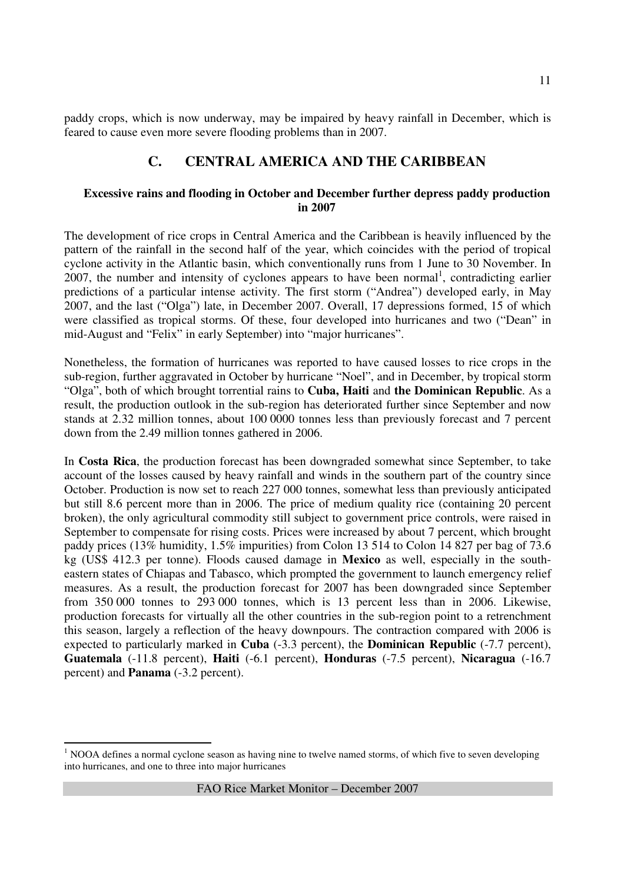paddy crops, which is now underway, may be impaired by heavy rainfall in December, which is feared to cause even more severe flooding problems than in 2007.

# **C. CENTRAL AMERICA AND THE CARIBBEAN**

#### **Excessive rains and flooding in October and December further depress paddy production in 2007**

The development of rice crops in Central America and the Caribbean is heavily influenced by the pattern of the rainfall in the second half of the year, which coincides with the period of tropical cyclone activity in the Atlantic basin, which conventionally runs from 1 June to 30 November. In  $2007$ , the number and intensity of cyclones appears to have been normal<sup>1</sup>, contradicting earlier predictions of a particular intense activity. The first storm ("Andrea") developed early, in May 2007, and the last ("Olga") late, in December 2007. Overall, 17 depressions formed, 15 of which were classified as tropical storms. Of these, four developed into hurricanes and two ("Dean" in mid-August and "Felix" in early September) into "major hurricanes".

Nonetheless, the formation of hurricanes was reported to have caused losses to rice crops in the sub-region, further aggravated in October by hurricane "Noel", and in December, by tropical storm "Olga", both of which brought torrential rains to **Cuba, Haiti** and **the Dominican Republic**. As a result, the production outlook in the sub-region has deteriorated further since September and now stands at 2.32 million tonnes, about 100 0000 tonnes less than previously forecast and 7 percent down from the 2.49 million tonnes gathered in 2006.

In **Costa Rica**, the production forecast has been downgraded somewhat since September, to take account of the losses caused by heavy rainfall and winds in the southern part of the country since October. Production is now set to reach 227 000 tonnes, somewhat less than previously anticipated but still 8.6 percent more than in 2006. The price of medium quality rice (containing 20 percent broken), the only agricultural commodity still subject to government price controls, were raised in September to compensate for rising costs. Prices were increased by about 7 percent, which brought paddy prices (13% humidity, 1.5% impurities) from Colon 13 514 to Colon 14 827 per bag of 73.6 kg (US\$ 412.3 per tonne). Floods caused damage in **Mexico** as well, especially in the southeastern states of Chiapas and Tabasco, which prompted the government to launch emergency relief measures. As a result, the production forecast for 2007 has been downgraded since September from 350 000 tonnes to 293 000 tonnes, which is 13 percent less than in 2006. Likewise, production forecasts for virtually all the other countries in the sub-region point to a retrenchment this season, largely a reflection of the heavy downpours. The contraction compared with 2006 is expected to particularly marked in **Cuba** (-3.3 percent), the **Dominican Republic** (-7.7 percent), **Guatemala** (-11.8 percent), **Haiti** (-6.1 percent), **Honduras** (-7.5 percent), **Nicaragua** (-16.7 percent) and **Panama** (-3.2 percent).

l <sup>1</sup> NOOA defines a normal cyclone season as having nine to twelve named storms, of which five to seven developing into hurricanes, and one to three into major hurricanes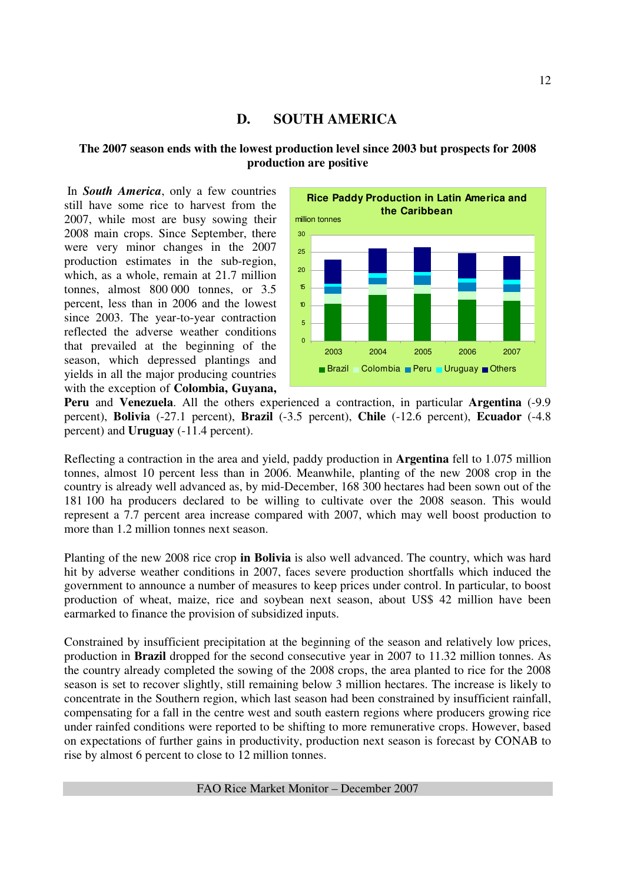## **D. SOUTH AMERICA**

#### **The 2007 season ends with the lowest production level since 2003 but prospects for 2008 production are positive**

 In *South America*, only a few countries still have some rice to harvest from the 2007, while most are busy sowing their 2008 main crops. Since September, there were very minor changes in the 2007 production estimates in the sub-region, which, as a whole, remain at 21.7 million tonnes, almost 800 000 tonnes, or 3.5 percent, less than in 2006 and the lowest since 2003. The year-to-year contraction reflected the adverse weather conditions that prevailed at the beginning of the season, which depressed plantings and yields in all the major producing countries with the exception of **Colombia, Guyana,** 



**Peru** and **Venezuela**. All the others experienced a contraction, in particular **Argentina** (-9.9 percent), **Bolivia** (-27.1 percent), **Brazil** (-3.5 percent), **Chile** (-12.6 percent), **Ecuador** (-4.8 percent) and **Uruguay** (-11.4 percent).

Reflecting a contraction in the area and yield, paddy production in **Argentina** fell to 1.075 million tonnes, almost 10 percent less than in 2006. Meanwhile, planting of the new 2008 crop in the country is already well advanced as, by mid-December, 168 300 hectares had been sown out of the 181 100 ha producers declared to be willing to cultivate over the 2008 season. This would represent a 7.7 percent area increase compared with 2007, which may well boost production to more than 1.2 million tonnes next season.

Planting of the new 2008 rice crop **in Bolivia** is also well advanced. The country, which was hard hit by adverse weather conditions in 2007, faces severe production shortfalls which induced the government to announce a number of measures to keep prices under control. In particular, to boost production of wheat, maize, rice and soybean next season, about US\$ 42 million have been earmarked to finance the provision of subsidized inputs.

Constrained by insufficient precipitation at the beginning of the season and relatively low prices, production in **Brazil** dropped for the second consecutive year in 2007 to 11.32 million tonnes. As the country already completed the sowing of the 2008 crops, the area planted to rice for the 2008 season is set to recover slightly, still remaining below 3 million hectares. The increase is likely to concentrate in the Southern region, which last season had been constrained by insufficient rainfall, compensating for a fall in the centre west and south eastern regions where producers growing rice under rainfed conditions were reported to be shifting to more remunerative crops. However, based on expectations of further gains in productivity, production next season is forecast by CONAB to rise by almost 6 percent to close to 12 million tonnes.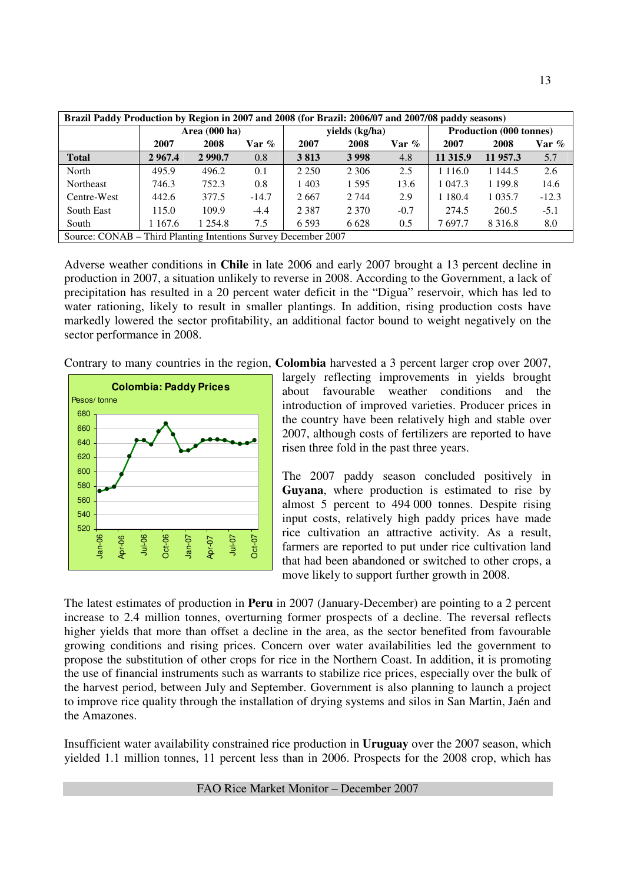| Brazil Paddy Production by Region in 2007 and 2008 (for Brazil: 2006/07 and 2007/08 paddy seasons) |        |                         |         |         |                |          |             |                                |         |  |  |
|----------------------------------------------------------------------------------------------------|--------|-------------------------|---------|---------|----------------|----------|-------------|--------------------------------|---------|--|--|
|                                                                                                    |        | Area $(000 \text{ ha})$ |         |         | yields (kg/ha) |          |             | <b>Production (000 tonnes)</b> |         |  |  |
|                                                                                                    | 2007   | 2008                    | Var %   | 2007    | 2008           | Var $\%$ | 2007        | 2008                           | Var %   |  |  |
| <b>Total</b>                                                                                       | 2967.4 | 2990.7                  | 0.8     | 3813    | 3998           | 4.8      | 11 315.9    | 11 957.3                       | 5.7     |  |  |
| North                                                                                              | 495.9  | 496.2                   | 0.1     | 2 2 5 0 | 2 3 0 6        | 2.5      | 1 1 1 6 .0  | 1 1 4 4 .5                     | 2.6     |  |  |
| Northeast                                                                                          | 746.3  | 752.3                   | 0.8     | 1403    | 1595           | 13.6     | 1 047.3     | 1 199.8                        | 14.6    |  |  |
| Centre-West                                                                                        | 442.6  | 377.5                   | $-14.7$ | 2667    | 2 7 4 4        | 2.9      | 1 1 8 0 . 4 | 1 0 3 5 .7                     | $-12.3$ |  |  |
| South East                                                                                         | 115.0  | 109.9                   | $-4.4$  | 2 3 8 7 | 2 3 7 0        | $-0.7$   | 274.5       | 260.5                          | $-5.1$  |  |  |
| South                                                                                              | 167.6  | 1 254.8                 | 7.5     | 6 5 9 3 | 6628           | 0.5      | 7697.7      | 8 3 1 6 .8                     | 8.0     |  |  |
| Source: CONAB – Third Planting Intentions Survey December 2007                                     |        |                         |         |         |                |          |             |                                |         |  |  |

Adverse weather conditions in **Chile** in late 2006 and early 2007 brought a 13 percent decline in production in 2007, a situation unlikely to reverse in 2008. According to the Government, a lack of precipitation has resulted in a 20 percent water deficit in the "Digua" reservoir, which has led to water rationing, likely to result in smaller plantings. In addition, rising production costs have markedly lowered the sector profitability, an additional factor bound to weight negatively on the sector performance in 2008.

Contrary to many countries in the region, **Colombia** harvested a 3 percent larger crop over 2007,



largely reflecting improvements in yields brought about favourable weather conditions and the introduction of improved varieties. Producer prices in the country have been relatively high and stable over 2007, although costs of fertilizers are reported to have risen three fold in the past three years.

The 2007 paddy season concluded positively in **Guyana**, where production is estimated to rise by almost 5 percent to 494 000 tonnes. Despite rising input costs, relatively high paddy prices have made rice cultivation an attractive activity. As a result, farmers are reported to put under rice cultivation land that had been abandoned or switched to other crops, a move likely to support further growth in 2008.

The latest estimates of production in **Peru** in 2007 (January-December) are pointing to a 2 percent increase to 2.4 million tonnes, overturning former prospects of a decline. The reversal reflects higher yields that more than offset a decline in the area, as the sector benefited from favourable growing conditions and rising prices. Concern over water availabilities led the government to propose the substitution of other crops for rice in the Northern Coast. In addition, it is promoting the use of financial instruments such as warrants to stabilize rice prices, especially over the bulk of the harvest period, between July and September. Government is also planning to launch a project to improve rice quality through the installation of drying systems and silos in San Martin, Jaén and the Amazones.

Insufficient water availability constrained rice production in **Uruguay** over the 2007 season, which yielded 1.1 million tonnes, 11 percent less than in 2006. Prospects for the 2008 crop, which has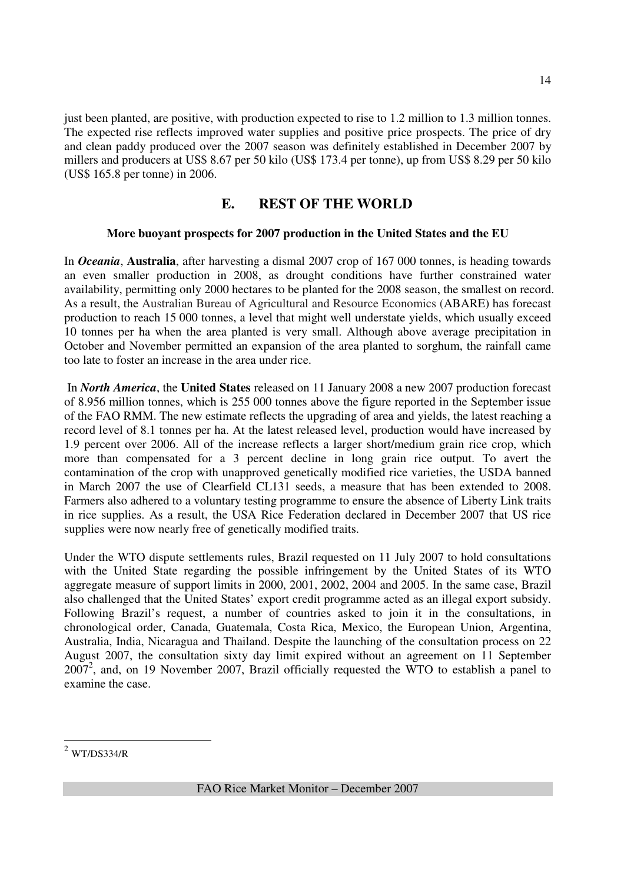just been planted, are positive, with production expected to rise to 1.2 million to 1.3 million tonnes. The expected rise reflects improved water supplies and positive price prospects. The price of dry and clean paddy produced over the 2007 season was definitely established in December 2007 by millers and producers at US\$ 8.67 per 50 kilo (US\$ 173.4 per tonne), up from US\$ 8.29 per 50 kilo (US\$ 165.8 per tonne) in 2006.

# **E. REST OF THE WORLD**

# **More buoyant prospects for 2007 production in the United States and the EU**

In *Oceania*, **Australia**, after harvesting a dismal 2007 crop of 167 000 tonnes, is heading towards an even smaller production in 2008, as drought conditions have further constrained water availability, permitting only 2000 hectares to be planted for the 2008 season, the smallest on record. As a result, the Australian Bureau of Agricultural and Resource Economics (ABARE) has forecast production to reach 15 000 tonnes, a level that might well understate yields, which usually exceed 10 tonnes per ha when the area planted is very small. Although above average precipitation in October and November permitted an expansion of the area planted to sorghum, the rainfall came too late to foster an increase in the area under rice.

 In *North America*, the **United States** released on 11 January 2008 a new 2007 production forecast of 8.956 million tonnes, which is 255 000 tonnes above the figure reported in the September issue of the FAO RMM. The new estimate reflects the upgrading of area and yields, the latest reaching a record level of 8.1 tonnes per ha. At the latest released level, production would have increased by 1.9 percent over 2006. All of the increase reflects a larger short/medium grain rice crop, which more than compensated for a 3 percent decline in long grain rice output. To avert the contamination of the crop with unapproved genetically modified rice varieties, the USDA banned in March 2007 the use of Clearfield CL131 seeds, a measure that has been extended to 2008. Farmers also adhered to a voluntary testing programme to ensure the absence of Liberty Link traits in rice supplies. As a result, the USA Rice Federation declared in December 2007 that US rice supplies were now nearly free of genetically modified traits.

Under the WTO dispute settlements rules, Brazil requested on 11 July 2007 to hold consultations with the United State regarding the possible infringement by the United States of its WTO aggregate measure of support limits in 2000, 2001, 2002, 2004 and 2005. In the same case, Brazil also challenged that the United States' export credit programme acted as an illegal export subsidy. Following Brazil's request, a number of countries asked to join it in the consultations, in chronological order, Canada, Guatemala, Costa Rica, Mexico, the European Union, Argentina, Australia, India, Nicaragua and Thailand. Despite the launching of the consultation process on 22 August 2007, the consultation sixty day limit expired without an agreement on 11 September  $2007<sup>2</sup>$ , and, on 19 November 2007, Brazil officially requested the WTO to establish a panel to examine the case.

 $\overline{a}$ 

 $2$  WT/DS334/R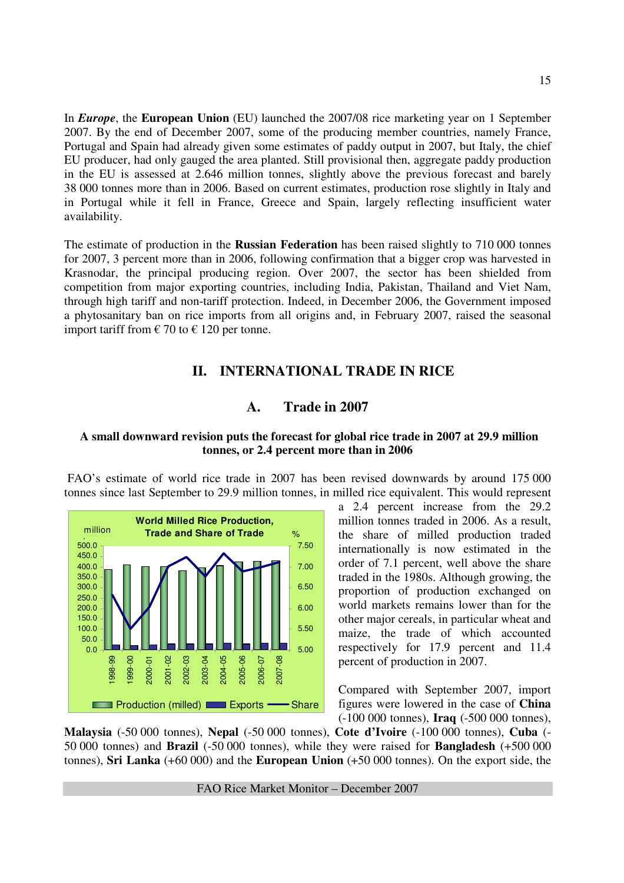In *Europe*, the **European Union** (EU) launched the 2007/08 rice marketing year on 1 September 2007. By the end of December 2007, some of the producing member countries, namely France, Portugal and Spain had already given some estimates of paddy output in 2007, but Italy, the chief EU producer, had only gauged the area planted. Still provisional then, aggregate paddy production in the EU is assessed at 2.646 million tonnes, slightly above the previous forecast and barely 38 000 tonnes more than in 2006. Based on current estimates, production rose slightly in Italy and in Portugal while it fell in France, Greece and Spain, largely reflecting insufficient water availability.

The estimate of production in the **Russian Federation** has been raised slightly to 710 000 tonnes for 2007, 3 percent more than in 2006, following confirmation that a bigger crop was harvested in Krasnodar, the principal producing region. Over 2007, the sector has been shielded from competition from major exporting countries, including India, Pakistan, Thailand and Viet Nam, through high tariff and non-tariff protection. Indeed, in December 2006, the Government imposed a phytosanitary ban on rice imports from all origins and, in February 2007, raised the seasonal import tariff from  $\epsilon$  70 to  $\epsilon$  120 per tonne.

# **II. INTERNATIONAL TRADE IN RICE**

## **A. Trade in 2007**

#### **A small downward revision puts the forecast for global rice trade in 2007 at 29.9 million tonnes, or 2.4 percent more than in 2006**

 FAO's estimate of world rice trade in 2007 has been revised downwards by around 175 000 tonnes since last September to 29.9 million tonnes, in milled rice equivalent. This would represent



a 2.4 percent increase from the 29.2 million tonnes traded in 2006. As a result, the share of milled production traded internationally is now estimated in the order of 7.1 percent, well above the share traded in the 1980s. Although growing, the proportion of production exchanged on world markets remains lower than for the other major cereals, in particular wheat and maize, the trade of which accounted respectively for 17.9 percent and 11.4 percent of production in 2007.

Compared with September 2007, import figures were lowered in the case of **China** (-100 000 tonnes), **Iraq** (-500 000 tonnes),

**Malaysia** (-50 000 tonnes), **Nepal** (-50 000 tonnes), **Cote d'Ivoire** (-100 000 tonnes), **Cuba** (- 50 000 tonnes) and **Brazil** (-50 000 tonnes), while they were raised for **Bangladesh** (+500 000 tonnes), **Sri Lanka** (+60 000) and the **European Union** (+50 000 tonnes). On the export side, the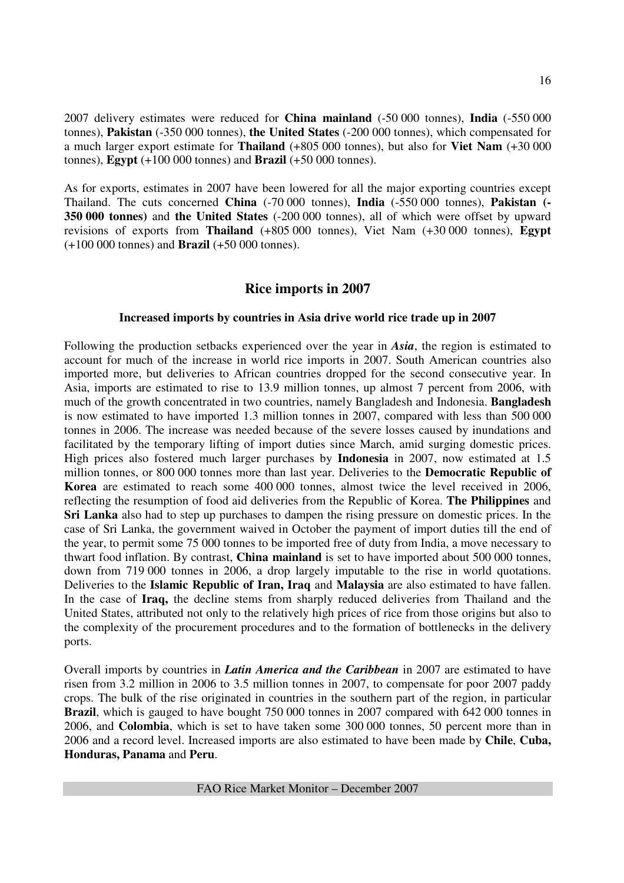2007 delivery estimates were reduced for **China mainland** (-50 000 tonnes), **India** (-550 000 tonnes), **Pakistan** (-350 000 tonnes), **the United States** (-200 000 tonnes), which compensated for a much larger export estimate for **Thailand** (+805 000 tonnes), but also for **Viet Nam** (+30 000 tonnes), **Egypt** (+100 000 tonnes) and **Brazil** (+50 000 tonnes).

As for exports, estimates in 2007 have been lowered for all the major exporting countries except Thailand. The cuts concerned **China** (-70 000 tonnes), **India** (-550 000 tonnes), **Pakistan (- 350 000 tonnes)** and **the United States** (-200 000 tonnes), all of which were offset by upward revisions of exports from **Thailand** (+805 000 tonnes), Viet Nam (+30 000 tonnes), **Egypt** (+100 000 tonnes) and **Brazil** (+50 000 tonnes).

## **Rice imports in 2007**

#### **Increased imports by countries in Asia drive world rice trade up in 2007**

Following the production setbacks experienced over the year in *Asia*, the region is estimated to account for much of the increase in world rice imports in 2007. South American countries also imported more, but deliveries to African countries dropped for the second consecutive year. In Asia, imports are estimated to rise to 13.9 million tonnes, up almost 7 percent from 2006, with much of the growth concentrated in two countries, namely Bangladesh and Indonesia. **Bangladesh**  is now estimated to have imported 1.3 million tonnes in 2007, compared with less than 500 000 tonnes in 2006. The increase was needed because of the severe losses caused by inundations and facilitated by the temporary lifting of import duties since March, amid surging domestic prices. High prices also fostered much larger purchases by **Indonesia** in 2007, now estimated at 1.5 million tonnes, or 800 000 tonnes more than last year. Deliveries to the **Democratic Republic of Korea** are estimated to reach some 400 000 tonnes, almost twice the level received in 2006, reflecting the resumption of food aid deliveries from the Republic of Korea. **The Philippines** and **Sri Lanka** also had to step up purchases to dampen the rising pressure on domestic prices. In the case of Sri Lanka, the government waived in October the payment of import duties till the end of the year, to permit some 75 000 tonnes to be imported free of duty from India, a move necessary to thwart food inflation. By contrast, **China mainland** is set to have imported about 500 000 tonnes, down from 719 000 tonnes in 2006, a drop largely imputable to the rise in world quotations. Deliveries to the **Islamic Republic of Iran, Iraq** and **Malaysia** are also estimated to have fallen. In the case of **Iraq,** the decline stems from sharply reduced deliveries from Thailand and the United States, attributed not only to the relatively high prices of rice from those origins but also to the complexity of the procurement procedures and to the formation of bottlenecks in the delivery ports.

Overall imports by countries in *Latin America and the Caribbean* in 2007 are estimated to have risen from 3.2 million in 2006 to 3.5 million tonnes in 2007, to compensate for poor 2007 paddy crops. The bulk of the rise originated in countries in the southern part of the region, in particular **Brazil**, which is gauged to have bought 750 000 tonnes in 2007 compared with 642 000 tonnes in 2006, and **Colombia**, which is set to have taken some 300 000 tonnes, 50 percent more than in 2006 and a record level. Increased imports are also estimated to have been made by **Chile**, **Cuba, Honduras, Panama** and **Peru**.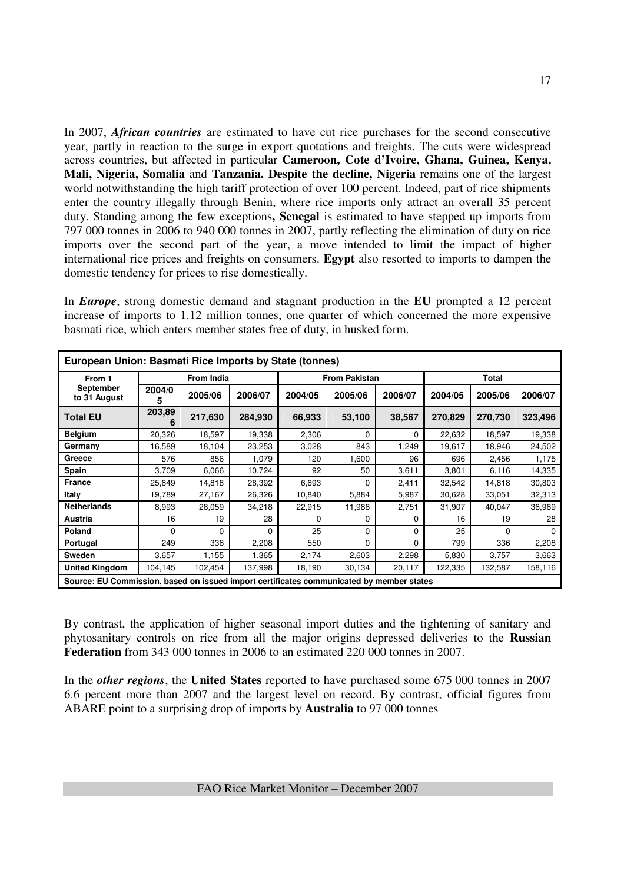In 2007, *African countries* are estimated to have cut rice purchases for the second consecutive year, partly in reaction to the surge in export quotations and freights. The cuts were widespread across countries, but affected in particular **Cameroon, Cote d'Ivoire, Ghana, Guinea, Kenya, Mali, Nigeria, Somalia** and **Tanzania. Despite the decline, Nigeria** remains one of the largest world notwithstanding the high tariff protection of over 100 percent. Indeed, part of rice shipments enter the country illegally through Benin, where rice imports only attract an overall 35 percent duty. Standing among the few exceptions**, Senegal** is estimated to have stepped up imports from 797 000 tonnes in 2006 to 940 000 tonnes in 2007, partly reflecting the elimination of duty on rice imports over the second part of the year, a move intended to limit the impact of higher international rice prices and freights on consumers. **Egypt** also resorted to imports to dampen the domestic tendency for prices to rise domestically.

In *Europe*, strong domestic demand and stagnant production in the **EU** prompted a 12 percent increase of imports to 1.12 million tonnes, one quarter of which concerned the more expensive basmati rice, which enters member states free of duty, in husked form.

| European Union: Basmati Rice Imports by State (tonnes)                                   |             |                   |              |         |                      |         |         |              |         |  |
|------------------------------------------------------------------------------------------|-------------|-------------------|--------------|---------|----------------------|---------|---------|--------------|---------|--|
| From 1                                                                                   |             | <b>From India</b> |              |         | <b>From Pakistan</b> |         |         | <b>Total</b> |         |  |
| September<br>to 31 August                                                                | 2004/0<br>5 | 2005/06           | 2006/07      | 2004/05 | 2005/06              | 2006/07 | 2004/05 | 2005/06      | 2006/07 |  |
| <b>Total EU</b>                                                                          | 203,89<br>6 | 217,630           | 284,930      | 66,933  | 53,100               | 38,567  | 270,829 | 270,730      | 323,496 |  |
| <b>Belgium</b>                                                                           | 20,326      | 18,597            | 19,338       | 2,306   | $\Omega$             | 0       | 22,632  | 18,597       | 19,338  |  |
| Germany                                                                                  | 16,589      | 18,104            | 23,253       | 3,028   | 843                  | 1,249   | 19,617  | 18,946       | 24,502  |  |
| Greece                                                                                   | 576         | 856               | 1,079        | 120     | 1,600                | 96      | 696     | 2,456        | 1,175   |  |
| Spain                                                                                    | 3,709       | 6,066             | 10,724       | 92      | 50                   | 3,611   | 3,801   | 6,116        | 14,335  |  |
| <b>France</b>                                                                            | 25,849      | 14,818            | 28,392       | 6,693   | 0                    | 2,411   | 32,542  | 14,818       | 30,803  |  |
| Italy                                                                                    | 19,789      | 27,167            | 26,326       | 10,840  | 5,884                | 5,987   | 30,628  | 33,051       | 32,313  |  |
| <b>Netherlands</b>                                                                       | 8,993       | 28,059            | 34,218       | 22,915  | 11,988               | 2,751   | 31,907  | 40,047       | 36,969  |  |
| Austria                                                                                  | 16          | 19                | 28           | O       | 0                    | 0       | 16      | 19           | 28      |  |
| Poland                                                                                   | 0           | $\Omega$          | <sup>0</sup> | 25      | 0                    | 0       | 25      | $\Omega$     | 0       |  |
| Portugal                                                                                 | 249         | 336               | 2,208        | 550     | 0                    | 0       | 799     | 336          | 2,208   |  |
| <b>Sweden</b>                                                                            | 3,657       | 1,155             | 1,365        | 2,174   | 2,603                | 2,298   | 5,830   | 3,757        | 3,663   |  |
| <b>United Kingdom</b>                                                                    | 104,145     | 102,454           | 137,998      | 18,190  | 30,134               | 20,117  | 122,335 | 132,587      | 158,116 |  |
| Source: EU Commission, based on issued import certificates communicated by member states |             |                   |              |         |                      |         |         |              |         |  |

By contrast, the application of higher seasonal import duties and the tightening of sanitary and phytosanitary controls on rice from all the major origins depressed deliveries to the **Russian Federation** from 343 000 tonnes in 2006 to an estimated 220 000 tonnes in 2007.

In the *other regions*, the **United States** reported to have purchased some 675 000 tonnes in 2007 6.6 percent more than 2007 and the largest level on record. By contrast, official figures from ABARE point to a surprising drop of imports by **Australia** to 97 000 tonnes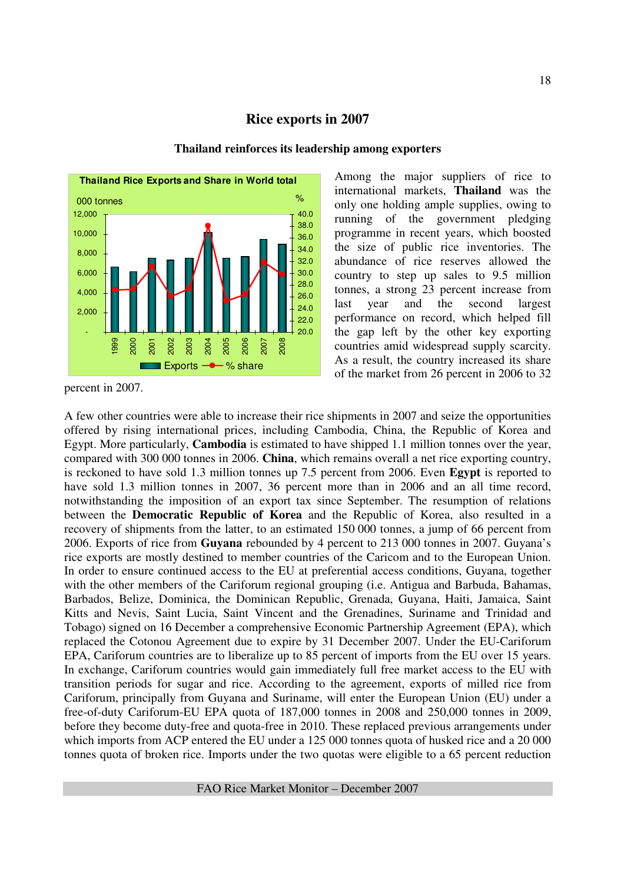## **Rice exports in 2007**





Among the major suppliers of rice to international markets, **Thailand** was the only one holding ample supplies, owing to running of the government pledging programme in recent years, which boosted the size of public rice inventories. The abundance of rice reserves allowed the country to step up sales to 9.5 million tonnes, a strong 23 percent increase from last year and the second largest performance on record, which helped fill the gap left by the other key exporting countries amid widespread supply scarcity. As a result, the country increased its share of the market from 26 percent in 2006 to 32

A few other countries were able to increase their rice shipments in 2007 and seize the opportunities offered by rising international prices, including Cambodia, China, the Republic of Korea and Egypt. More particularly, **Cambodia** is estimated to have shipped 1.1 million tonnes over the year, compared with 300 000 tonnes in 2006. **China**, which remains overall a net rice exporting country, is reckoned to have sold 1.3 million tonnes up 7.5 percent from 2006. Even **Egypt** is reported to have sold 1.3 million tonnes in 2007, 36 percent more than in 2006 and an all time record, notwithstanding the imposition of an export tax since September. The resumption of relations between the **Democratic Republic of Korea** and the Republic of Korea, also resulted in a recovery of shipments from the latter, to an estimated 150 000 tonnes, a jump of 66 percent from 2006. Exports of rice from **Guyana** rebounded by 4 percent to 213 000 tonnes in 2007. Guyana's rice exports are mostly destined to member countries of the Caricom and to the European Union. In order to ensure continued access to the EU at preferential access conditions, Guyana, together with the other members of the Cariforum regional grouping (i.e. Antigua and Barbuda, Bahamas, Barbados, Belize, Dominica, the Dominican Republic, Grenada, Guyana, Haiti, Jamaica, Saint Kitts and Nevis, Saint Lucia, Saint Vincent and the Grenadines, Suriname and Trinidad and Tobago) signed on 16 December a comprehensive Economic Partnership Agreement (EPA), which replaced the Cotonou Agreement due to expire by 31 December 2007. Under the EU-Cariforum EPA, Cariforum countries are to liberalize up to 85 percent of imports from the EU over 15 years. In exchange, Cariforum countries would gain immediately full free market access to the EU with transition periods for sugar and rice. According to the agreement, exports of milled rice from Cariforum, principally from Guyana and Suriname, will enter the European Union (EU) under a free-of-duty Cariforum-EU EPA quota of 187,000 tonnes in 2008 and 250,000 tonnes in 2009, before they become duty-free and quota-free in 2010. These replaced previous arrangements under which imports from ACP entered the EU under a 125 000 tonnes quota of husked rice and a 20 000 tonnes quota of broken rice. Imports under the two quotas were eligible to a 65 percent reduction

percent in 2007.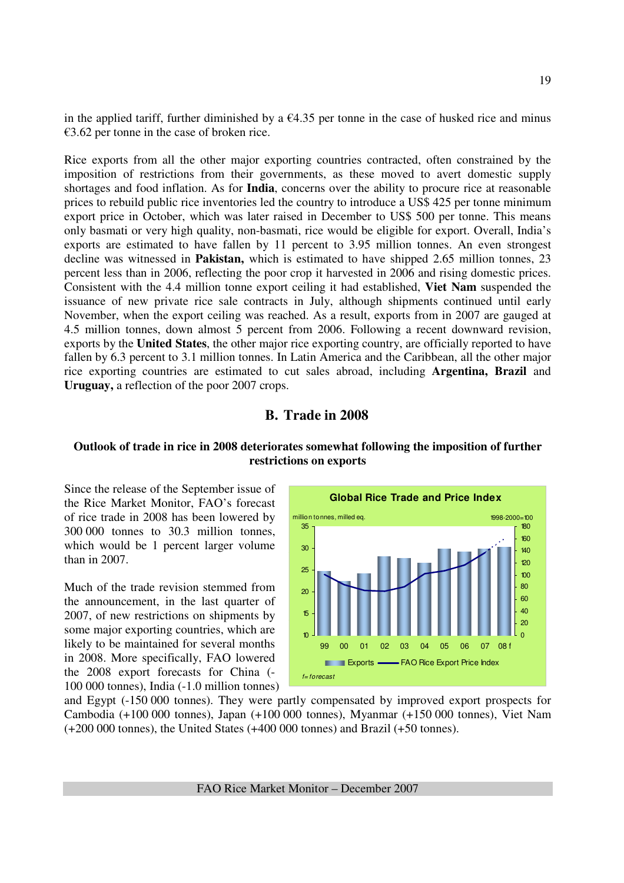in the applied tariff, further diminished by a  $\epsilon$ 4.35 per tonne in the case of husked rice and minus  $€3.62$  per tonne in the case of broken rice.

Rice exports from all the other major exporting countries contracted, often constrained by the imposition of restrictions from their governments, as these moved to avert domestic supply shortages and food inflation. As for **India**, concerns over the ability to procure rice at reasonable prices to rebuild public rice inventories led the country to introduce a US\$ 425 per tonne minimum export price in October, which was later raised in December to US\$ 500 per tonne. This means only basmati or very high quality, non-basmati, rice would be eligible for export. Overall, India's exports are estimated to have fallen by 11 percent to 3.95 million tonnes. An even strongest decline was witnessed in **Pakistan,** which is estimated to have shipped 2.65 million tonnes, 23 percent less than in 2006, reflecting the poor crop it harvested in 2006 and rising domestic prices. Consistent with the 4.4 million tonne export ceiling it had established, **Viet Nam** suspended the issuance of new private rice sale contracts in July, although shipments continued until early November, when the export ceiling was reached. As a result, exports from in 2007 are gauged at 4.5 million tonnes, down almost 5 percent from 2006. Following a recent downward revision, exports by the **United States**, the other major rice exporting country, are officially reported to have fallen by 6.3 percent to 3.1 million tonnes. In Latin America and the Caribbean, all the other major rice exporting countries are estimated to cut sales abroad, including **Argentina, Brazil** and **Uruguay,** a reflection of the poor 2007 crops.

#### **B. Trade in 2008**

#### **Outlook of trade in rice in 2008 deteriorates somewhat following the imposition of further restrictions on exports**

Since the release of the September issue of the Rice Market Monitor, FAO's forecast of rice trade in 2008 has been lowered by 300 000 tonnes to 30.3 million tonnes, which would be 1 percent larger volume than in 2007.

Much of the trade revision stemmed from the announcement, in the last quarter of 2007, of new restrictions on shipments by some major exporting countries, which are likely to be maintained for several months in 2008. More specifically, FAO lowered the 2008 export forecasts for China (- 100 000 tonnes), India (-1.0 million tonnes)



and Egypt (-150 000 tonnes). They were partly compensated by improved export prospects for Cambodia (+100 000 tonnes), Japan (+100 000 tonnes), Myanmar (+150 000 tonnes), Viet Nam (+200 000 tonnes), the United States (+400 000 tonnes) and Brazil (+50 tonnes).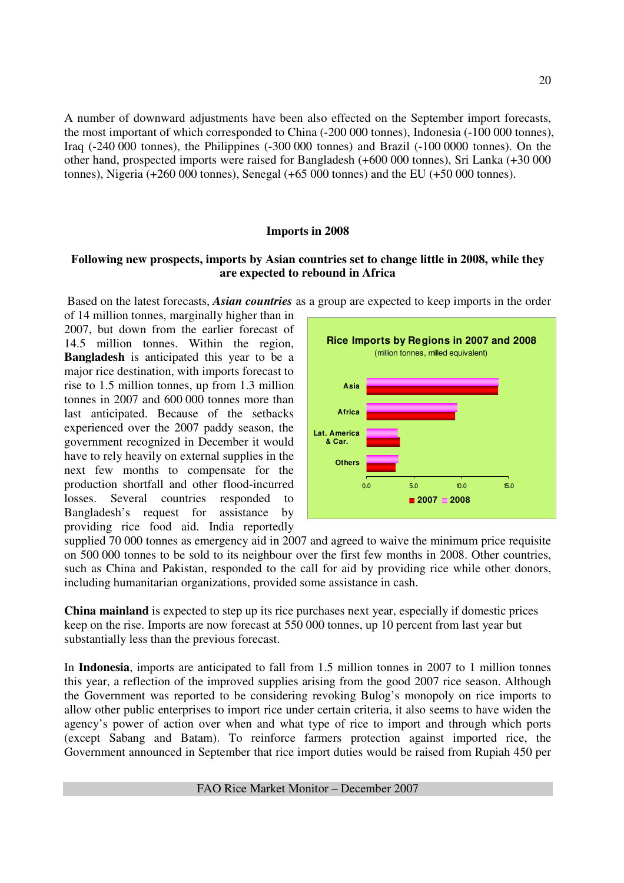A number of downward adjustments have been also effected on the September import forecasts, the most important of which corresponded to China (-200 000 tonnes), Indonesia (-100 000 tonnes), Iraq (-240 000 tonnes), the Philippines (-300 000 tonnes) and Brazil (-100 0000 tonnes). On the other hand, prospected imports were raised for Bangladesh (+600 000 tonnes), Sri Lanka (+30 000 tonnes), Nigeria (+260 000 tonnes), Senegal (+65 000 tonnes) and the EU (+50 000 tonnes).

#### **Imports in 2008**

#### **Following new prospects, imports by Asian countries set to change little in 2008, while they are expected to rebound in Africa**

Based on the latest forecasts, *Asian countries* as a group are expected to keep imports in the order

of 14 million tonnes, marginally higher than in 2007, but down from the earlier forecast of 14.5 million tonnes. Within the region, **Bangladesh** is anticipated this year to be a major rice destination, with imports forecast to rise to 1.5 million tonnes, up from 1.3 million tonnes in 2007 and 600 000 tonnes more than last anticipated. Because of the setbacks experienced over the 2007 paddy season, the government recognized in December it would have to rely heavily on external supplies in the next few months to compensate for the production shortfall and other flood-incurred losses. Several countries responded to Bangladesh's request for assistance by providing rice food aid. India reportedly



supplied 70 000 tonnes as emergency aid in 2007 and agreed to waive the minimum price requisite on 500 000 tonnes to be sold to its neighbour over the first few months in 2008. Other countries, such as China and Pakistan, responded to the call for aid by providing rice while other donors, including humanitarian organizations, provided some assistance in cash.

**China mainland** is expected to step up its rice purchases next year, especially if domestic prices keep on the rise. Imports are now forecast at 550 000 tonnes, up 10 percent from last year but substantially less than the previous forecast.

In **Indonesia**, imports are anticipated to fall from 1.5 million tonnes in 2007 to 1 million tonnes this year, a reflection of the improved supplies arising from the good 2007 rice season. Although the Government was reported to be considering revoking Bulog's monopoly on rice imports to allow other public enterprises to import rice under certain criteria, it also seems to have widen the agency's power of action over when and what type of rice to import and through which ports (except Sabang and Batam). To reinforce farmers protection against imported rice, the Government announced in September that rice import duties would be raised from Rupiah 450 per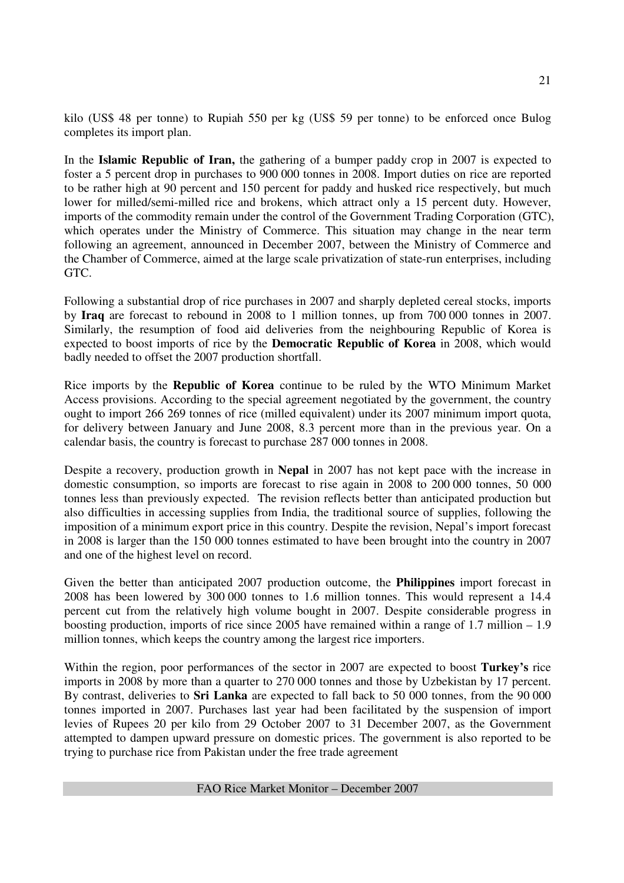kilo (US\$ 48 per tonne) to Rupiah 550 per kg (US\$ 59 per tonne) to be enforced once Bulog completes its import plan.

In the **Islamic Republic of Iran,** the gathering of a bumper paddy crop in 2007 is expected to foster a 5 percent drop in purchases to 900 000 tonnes in 2008. Import duties on rice are reported to be rather high at 90 percent and 150 percent for paddy and husked rice respectively, but much lower for milled/semi-milled rice and brokens, which attract only a 15 percent duty. However, imports of the commodity remain under the control of the Government Trading Corporation (GTC), which operates under the Ministry of Commerce. This situation may change in the near term following an agreement, announced in December 2007, between the Ministry of Commerce and the Chamber of Commerce, aimed at the large scale privatization of state-run enterprises, including GTC.

Following a substantial drop of rice purchases in 2007 and sharply depleted cereal stocks, imports by **Iraq** are forecast to rebound in 2008 to 1 million tonnes, up from 700 000 tonnes in 2007. Similarly, the resumption of food aid deliveries from the neighbouring Republic of Korea is expected to boost imports of rice by the **Democratic Republic of Korea** in 2008, which would badly needed to offset the 2007 production shortfall.

Rice imports by the **Republic of Korea** continue to be ruled by the WTO Minimum Market Access provisions. According to the special agreement negotiated by the government, the country ought to import 266 269 tonnes of rice (milled equivalent) under its 2007 minimum import quota, for delivery between January and June 2008, 8.3 percent more than in the previous year. On a calendar basis, the country is forecast to purchase 287 000 tonnes in 2008.

Despite a recovery, production growth in **Nepal** in 2007 has not kept pace with the increase in domestic consumption, so imports are forecast to rise again in 2008 to 200 000 tonnes, 50 000 tonnes less than previously expected. The revision reflects better than anticipated production but also difficulties in accessing supplies from India, the traditional source of supplies, following the imposition of a minimum export price in this country. Despite the revision, Nepal's import forecast in 2008 is larger than the 150 000 tonnes estimated to have been brought into the country in 2007 and one of the highest level on record.

Given the better than anticipated 2007 production outcome, the **Philippines** import forecast in 2008 has been lowered by 300 000 tonnes to 1.6 million tonnes. This would represent a 14.4 percent cut from the relatively high volume bought in 2007. Despite considerable progress in boosting production, imports of rice since 2005 have remained within a range of 1.7 million – 1.9 million tonnes, which keeps the country among the largest rice importers.

Within the region, poor performances of the sector in 2007 are expected to boost **Turkey's** rice imports in 2008 by more than a quarter to 270 000 tonnes and those by Uzbekistan by 17 percent. By contrast, deliveries to **Sri Lanka** are expected to fall back to 50 000 tonnes, from the 90 000 tonnes imported in 2007. Purchases last year had been facilitated by the suspension of import levies of Rupees 20 per kilo from 29 October 2007 to 31 December 2007, as the Government attempted to dampen upward pressure on domestic prices. The government is also reported to be trying to purchase rice from Pakistan under the free trade agreement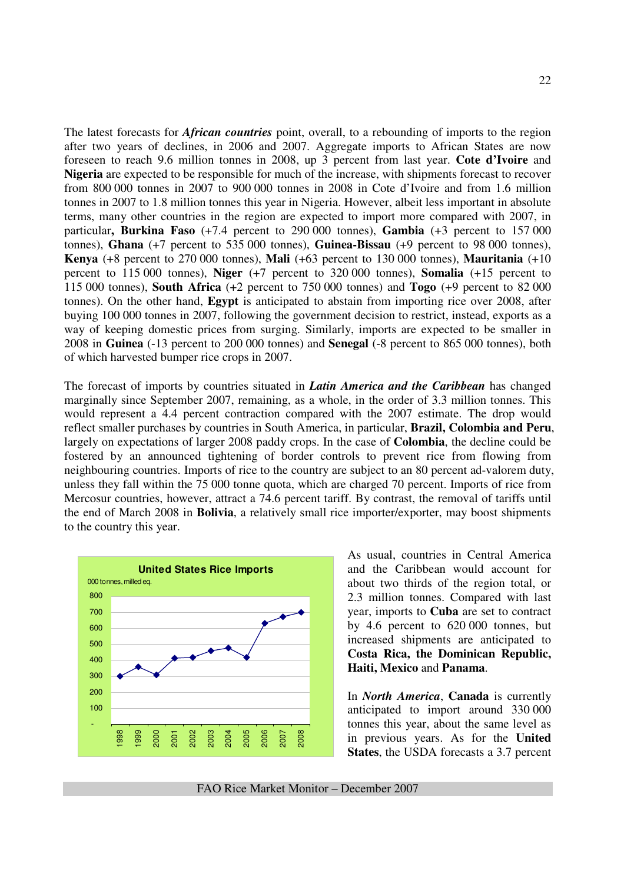The latest forecasts for *African countries* point, overall, to a rebounding of imports to the region after two years of declines, in 2006 and 2007. Aggregate imports to African States are now foreseen to reach 9.6 million tonnes in 2008, up 3 percent from last year. **Cote d'Ivoire** and **Nigeria** are expected to be responsible for much of the increase, with shipments forecast to recover from 800 000 tonnes in 2007 to 900 000 tonnes in 2008 in Cote d'Ivoire and from 1.6 million tonnes in 2007 to 1.8 million tonnes this year in Nigeria. However, albeit less important in absolute terms, many other countries in the region are expected to import more compared with 2007, in particular**, Burkina Faso** (+7.4 percent to 290 000 tonnes), **Gambia** (+3 percent to 157 000 tonnes), **Ghana** (+7 percent to 535 000 tonnes), **Guinea-Bissau** (+9 percent to 98 000 tonnes), **Kenya** (+8 percent to 270 000 tonnes), **Mali** (+63 percent to 130 000 tonnes), **Mauritania** (+10 percent to 115 000 tonnes), **Niger** (+7 percent to 320 000 tonnes), **Somalia** (+15 percent to 115 000 tonnes), **South Africa** (+2 percent to 750 000 tonnes) and **Togo** (+9 percent to 82 000 tonnes). On the other hand, **Egypt** is anticipated to abstain from importing rice over 2008, after buying 100 000 tonnes in 2007, following the government decision to restrict, instead, exports as a way of keeping domestic prices from surging. Similarly, imports are expected to be smaller in 2008 in **Guinea** (-13 percent to 200 000 tonnes) and **Senegal** (-8 percent to 865 000 tonnes), both of which harvested bumper rice crops in 2007.

The forecast of imports by countries situated in *Latin America and the Caribbean* has changed marginally since September 2007, remaining, as a whole, in the order of 3.3 million tonnes. This would represent a 4.4 percent contraction compared with the 2007 estimate. The drop would reflect smaller purchases by countries in South America, in particular, **Brazil, Colombia and Peru**, largely on expectations of larger 2008 paddy crops. In the case of **Colombia**, the decline could be fostered by an announced tightening of border controls to prevent rice from flowing from neighbouring countries. Imports of rice to the country are subject to an 80 percent ad-valorem duty, unless they fall within the 75 000 tonne quota, which are charged 70 percent. Imports of rice from Mercosur countries, however, attract a 74.6 percent tariff. By contrast, the removal of tariffs until the end of March 2008 in **Bolivia**, a relatively small rice importer/exporter, may boost shipments to the country this year.



As usual, countries in Central America and the Caribbean would account for about two thirds of the region total, or 2.3 million tonnes. Compared with last year, imports to **Cuba** are set to contract by 4.6 percent to 620 000 tonnes, but increased shipments are anticipated to **Costa Rica, the Dominican Republic, Haiti, Mexico** and **Panama**.

In *North America*, **Canada** is currently anticipated to import around 330 000 tonnes this year, about the same level as in previous years. As for the **United States**, the USDA forecasts a 3.7 percent

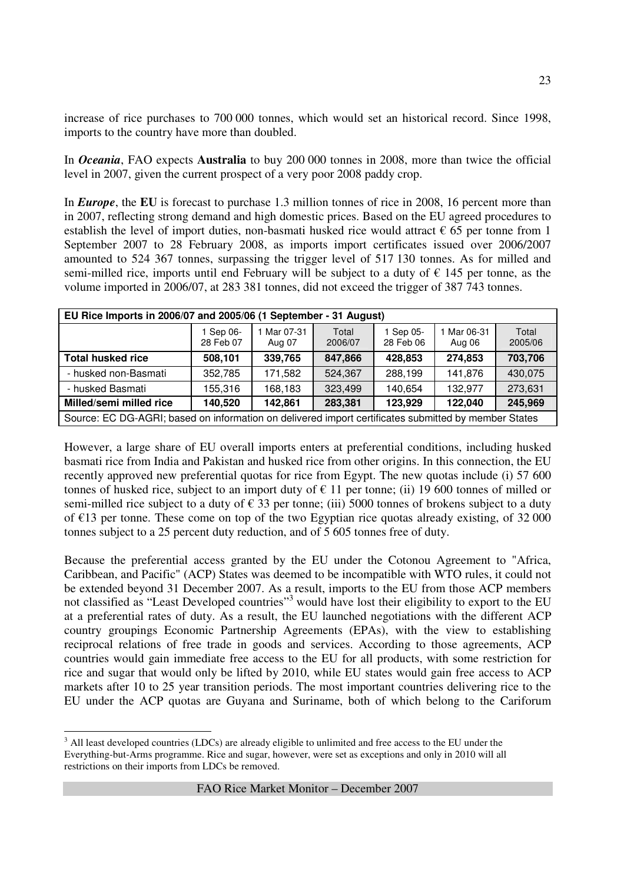increase of rice purchases to 700 000 tonnes, which would set an historical record. Since 1998, imports to the country have more than doubled.

In *Oceania*, FAO expects **Australia** to buy 200 000 tonnes in 2008, more than twice the official level in 2007, given the current prospect of a very poor 2008 paddy crop.

In *Europe*, the **EU** is forecast to purchase 1.3 million tonnes of rice in 2008, 16 percent more than in 2007, reflecting strong demand and high domestic prices. Based on the EU agreed procedures to establish the level of import duties, non-basmati husked rice would attract  $\epsilon$  65 per tonne from 1 September 2007 to 28 February 2008, as imports import certificates issued over 2006/2007 amounted to 524 367 tonnes, surpassing the trigger level of 517 130 tonnes. As for milled and semi-milled rice, imports until end February will be subject to a duty of  $\epsilon$  145 per tonne, as the volume imported in 2006/07, at 283 381 tonnes, did not exceed the trigger of 387 743 tonnes.

| EU Rice Imports in 2006/07 and 2005/06 (1 September - 31 August) |                                                                                                      |                     |                  |                        |                     |                  |  |  |  |  |
|------------------------------------------------------------------|------------------------------------------------------------------------------------------------------|---------------------|------------------|------------------------|---------------------|------------------|--|--|--|--|
|                                                                  | 1 Sep 06-<br>28 Feb 07                                                                               | Mar 07-31<br>Aug 07 | Total<br>2006/07 | 1 Sep 05-<br>28 Feb 06 | Mar 06-31<br>Aug 06 | Total<br>2005/06 |  |  |  |  |
| <b>Total husked rice</b>                                         | 508,101                                                                                              | 339,765             | 847,866          | 428,853                | 274,853             | 703,706          |  |  |  |  |
| - husked non-Basmati                                             | 352,785                                                                                              | 171,582             | 524,367          | 288,199                | 141,876             | 430,075          |  |  |  |  |
| - husked Basmati                                                 | 155,316                                                                                              | 168,183             | 323,499          | 140,654                | 132,977             | 273,631          |  |  |  |  |
| Milled/semi milled rice                                          | 140,520                                                                                              | 142,861             | 283,381          | 123,929                | 122,040             | 245,969          |  |  |  |  |
|                                                                  | Source: EC DG-AGRI; based on information on delivered import certificates submitted by member States |                     |                  |                        |                     |                  |  |  |  |  |

However, a large share of EU overall imports enters at preferential conditions, including husked basmati rice from India and Pakistan and husked rice from other origins. In this connection, the EU recently approved new preferential quotas for rice from Egypt. The new quotas include (i) 57 600 tonnes of husked rice, subject to an import duty of  $\epsilon$  11 per tonne; (ii) 19 600 tonnes of milled or semi-milled rice subject to a duty of  $\epsilon$  33 per tonne; (iii) 5000 tonnes of brokens subject to a duty of  $E13$  per tonne. These come on top of the two Egyptian rice quotas already existing, of 32 000 tonnes subject to a 25 percent duty reduction, and of 5 605 tonnes free of duty.

Because the preferential access granted by the EU under the Cotonou Agreement to "Africa, Caribbean, and Pacific" (ACP) States was deemed to be incompatible with WTO rules, it could not be extended beyond 31 December 2007. As a result, imports to the EU from those ACP members not classified as "Least Developed countries"<sup>3</sup> would have lost their eligibility to export to the EU at a preferential rates of duty. As a result, the EU launched negotiations with the different ACP country groupings Economic Partnership Agreements (EPAs), with the view to establishing reciprocal relations of free trade in goods and services. According to those agreements, ACP countries would gain immediate free access to the EU for all products, with some restriction for rice and sugar that would only be lifted by 2010, while EU states would gain free access to ACP markets after 10 to 25 year transition periods. The most important countries delivering rice to the EU under the ACP quotas are Guyana and Suriname, both of which belong to the Cariforum

<sup>&</sup>lt;sup>3</sup> All least developed countries (LDCs) are already eligible to unlimited and free access to the EU under the Everything-but-Arms programme. Rice and sugar, however, were set as exceptions and only in 2010 will all restrictions on their imports from LDCs be removed.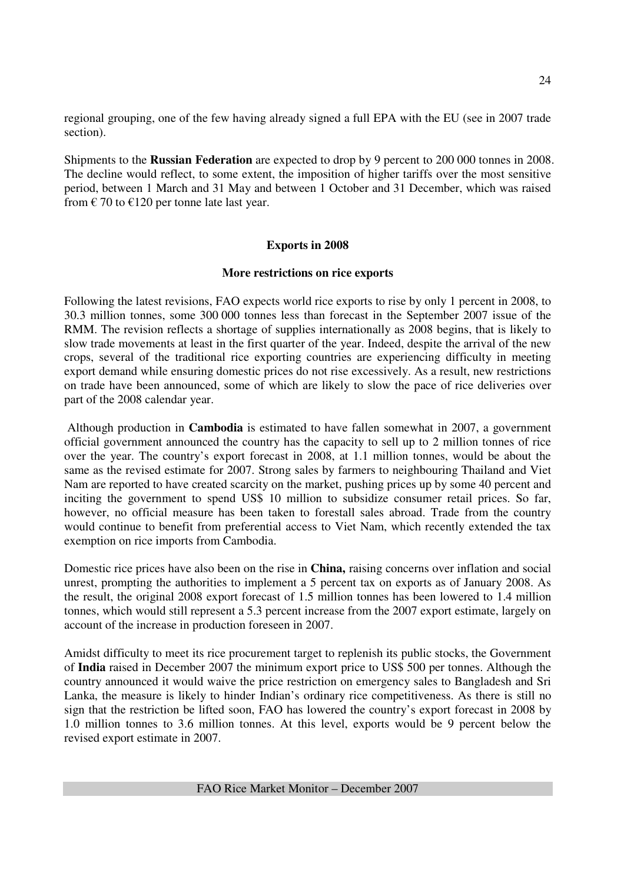regional grouping, one of the few having already signed a full EPA with the EU (see in 2007 trade section).

Shipments to the **Russian Federation** are expected to drop by 9 percent to 200 000 tonnes in 2008. The decline would reflect, to some extent, the imposition of higher tariffs over the most sensitive period, between 1 March and 31 May and between 1 October and 31 December, which was raised from  $\epsilon$  70 to  $\epsilon$ 120 per tonne late last year.

## **Exports in 2008**

#### **More restrictions on rice exports**

Following the latest revisions, FAO expects world rice exports to rise by only 1 percent in 2008, to 30.3 million tonnes, some 300 000 tonnes less than forecast in the September 2007 issue of the RMM. The revision reflects a shortage of supplies internationally as 2008 begins, that is likely to slow trade movements at least in the first quarter of the year. Indeed, despite the arrival of the new crops, several of the traditional rice exporting countries are experiencing difficulty in meeting export demand while ensuring domestic prices do not rise excessively. As a result, new restrictions on trade have been announced, some of which are likely to slow the pace of rice deliveries over part of the 2008 calendar year.

 Although production in **Cambodia** is estimated to have fallen somewhat in 2007, a government official government announced the country has the capacity to sell up to 2 million tonnes of rice over the year. The country's export forecast in 2008, at 1.1 million tonnes, would be about the same as the revised estimate for 2007. Strong sales by farmers to neighbouring Thailand and Viet Nam are reported to have created scarcity on the market, pushing prices up by some 40 percent and inciting the government to spend US\$ 10 million to subsidize consumer retail prices. So far, however, no official measure has been taken to forestall sales abroad. Trade from the country would continue to benefit from preferential access to Viet Nam, which recently extended the tax exemption on rice imports from Cambodia.

Domestic rice prices have also been on the rise in **China,** raising concerns over inflation and social unrest, prompting the authorities to implement a 5 percent tax on exports as of January 2008. As the result, the original 2008 export forecast of 1.5 million tonnes has been lowered to 1.4 million tonnes, which would still represent a 5.3 percent increase from the 2007 export estimate, largely on account of the increase in production foreseen in 2007.

Amidst difficulty to meet its rice procurement target to replenish its public stocks, the Government of **India** raised in December 2007 the minimum export price to US\$ 500 per tonnes. Although the country announced it would waive the price restriction on emergency sales to Bangladesh and Sri Lanka, the measure is likely to hinder Indian's ordinary rice competitiveness. As there is still no sign that the restriction be lifted soon, FAO has lowered the country's export forecast in 2008 by 1.0 million tonnes to 3.6 million tonnes. At this level, exports would be 9 percent below the revised export estimate in 2007.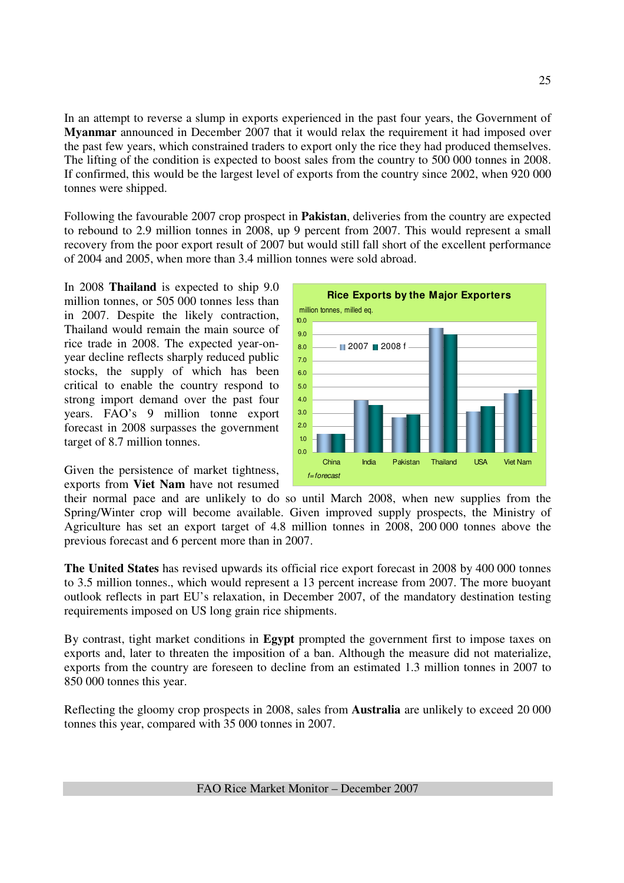In an attempt to reverse a slump in exports experienced in the past four years, the Government of **Myanmar** announced in December 2007 that it would relax the requirement it had imposed over the past few years, which constrained traders to export only the rice they had produced themselves. The lifting of the condition is expected to boost sales from the country to 500 000 tonnes in 2008. If confirmed, this would be the largest level of exports from the country since 2002, when 920 000 tonnes were shipped.

Following the favourable 2007 crop prospect in **Pakistan**, deliveries from the country are expected to rebound to 2.9 million tonnes in 2008, up 9 percent from 2007. This would represent a small recovery from the poor export result of 2007 but would still fall short of the excellent performance of 2004 and 2005, when more than 3.4 million tonnes were sold abroad.

In 2008 **Thailand** is expected to ship 9.0 million tonnes, or 505 000 tonnes less than in 2007. Despite the likely contraction, Thailand would remain the main source of rice trade in 2008. The expected year-onyear decline reflects sharply reduced public stocks, the supply of which has been critical to enable the country respond to strong import demand over the past four years. FAO's 9 million tonne export forecast in 2008 surpasses the government target of 8.7 million tonnes.

Given the persistence of market tightness, exports from **Viet Nam** have not resumed



their normal pace and are unlikely to do so until March 2008, when new supplies from the Spring/Winter crop will become available. Given improved supply prospects, the Ministry of Agriculture has set an export target of 4.8 million tonnes in 2008, 200 000 tonnes above the previous forecast and 6 percent more than in 2007.

**The United States** has revised upwards its official rice export forecast in 2008 by 400 000 tonnes to 3.5 million tonnes., which would represent a 13 percent increase from 2007. The more buoyant outlook reflects in part EU's relaxation, in December 2007, of the mandatory destination testing requirements imposed on US long grain rice shipments.

By contrast, tight market conditions in **Egypt** prompted the government first to impose taxes on exports and, later to threaten the imposition of a ban. Although the measure did not materialize, exports from the country are foreseen to decline from an estimated 1.3 million tonnes in 2007 to 850 000 tonnes this year.

Reflecting the gloomy crop prospects in 2008, sales from **Australia** are unlikely to exceed 20 000 tonnes this year, compared with 35 000 tonnes in 2007.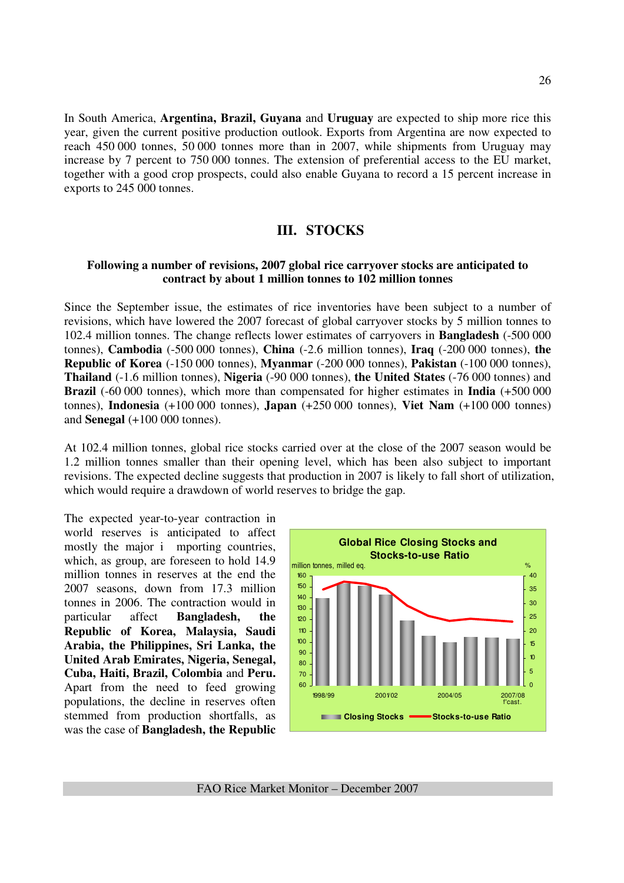In South America, **Argentina, Brazil, Guyana** and **Uruguay** are expected to ship more rice this year, given the current positive production outlook. Exports from Argentina are now expected to reach 450 000 tonnes, 50 000 tonnes more than in 2007, while shipments from Uruguay may increase by 7 percent to 750 000 tonnes. The extension of preferential access to the EU market, together with a good crop prospects, could also enable Guyana to record a 15 percent increase in exports to 245 000 tonnes.

# **III. STOCKS**

#### **Following a number of revisions, 2007 global rice carryover stocks are anticipated to contract by about 1 million tonnes to 102 million tonnes**

Since the September issue, the estimates of rice inventories have been subject to a number of revisions, which have lowered the 2007 forecast of global carryover stocks by 5 million tonnes to 102.4 million tonnes. The change reflects lower estimates of carryovers in **Bangladesh** (-500 000 tonnes), **Cambodia** (-500 000 tonnes), **China** (-2.6 million tonnes), **Iraq** (-200 000 tonnes), **the Republic of Korea** (-150 000 tonnes), **Myanmar** (-200 000 tonnes), **Pakistan** (-100 000 tonnes), **Thailand** (-1.6 million tonnes), **Nigeria** (-90 000 tonnes), **the United States** (-76 000 tonnes) and **Brazil** (-60 000 tonnes), which more than compensated for higher estimates in **India** (+500 000 tonnes), **Indonesia** (+100 000 tonnes), **Japan** (+250 000 tonnes), **Viet Nam** (+100 000 tonnes) and **Senegal** (+100 000 tonnes).

At 102.4 million tonnes, global rice stocks carried over at the close of the 2007 season would be 1.2 million tonnes smaller than their opening level, which has been also subject to important revisions. The expected decline suggests that production in 2007 is likely to fall short of utilization, which would require a drawdown of world reserves to bridge the gap.

The expected year-to-year contraction in world reserves is anticipated to affect mostly the major i mporting countries, which, as group, are foreseen to hold 14.9 million tonnes in reserves at the end the 2007 seasons, down from 17.3 million tonnes in 2006. The contraction would in particular affect **Bangladesh, the Republic of Korea, Malaysia, Saudi Arabia, the Philippines, Sri Lanka, the United Arab Emirates, Nigeria, Senegal, Cuba, Haiti, Brazil, Colombia** and **Peru.**  Apart from the need to feed growing populations, the decline in reserves often stemmed from production shortfalls, as was the case of **Bangladesh, the Republic** 

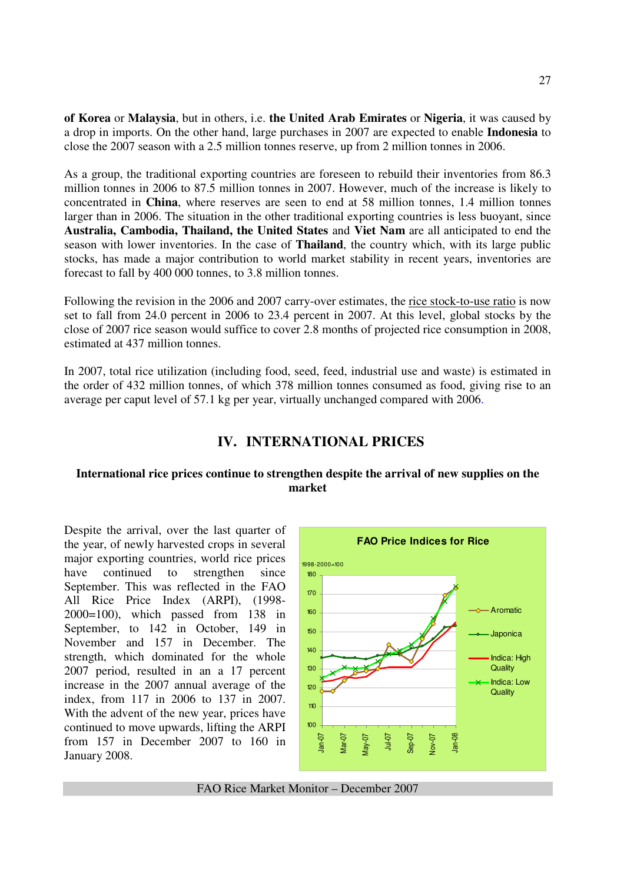**of Korea** or **Malaysia**, but in others, i.e. **the United Arab Emirates** or **Nigeria**, it was caused by a drop in imports. On the other hand, large purchases in 2007 are expected to enable **Indonesia** to close the 2007 season with a 2.5 million tonnes reserve, up from 2 million tonnes in 2006.

As a group, the traditional exporting countries are foreseen to rebuild their inventories from 86.3 million tonnes in 2006 to 87.5 million tonnes in 2007. However, much of the increase is likely to concentrated in **China**, where reserves are seen to end at 58 million tonnes, 1.4 million tonnes larger than in 2006. The situation in the other traditional exporting countries is less buoyant, since **Australia, Cambodia, Thailand, the United States** and **Viet Nam** are all anticipated to end the season with lower inventories. In the case of **Thailand**, the country which, with its large public stocks, has made a major contribution to world market stability in recent years, inventories are forecast to fall by 400 000 tonnes, to 3.8 million tonnes.

Following the revision in the 2006 and 2007 carry-over estimates, the rice stock-to-use ratio is now set to fall from 24.0 percent in 2006 to 23.4 percent in 2007. At this level, global stocks by the close of 2007 rice season would suffice to cover 2.8 months of projected rice consumption in 2008, estimated at 437 million tonnes.

In 2007, total rice utilization (including food, seed, feed, industrial use and waste) is estimated in the order of 432 million tonnes, of which 378 million tonnes consumed as food, giving rise to an average per caput level of 57.1 kg per year, virtually unchanged compared with 2006.

# **IV. INTERNATIONAL PRICES**

#### **International rice prices continue to strengthen despite the arrival of new supplies on the market**

Despite the arrival, over the last quarter of the year, of newly harvested crops in several major exporting countries, world rice prices have continued to strengthen since September. This was reflected in the FAO All Rice Price Index (ARPI), (1998- 2000=100), which passed from 138 in September, to 142 in October, 149 in November and 157 in December. The strength, which dominated for the whole 2007 period, resulted in an a 17 percent increase in the 2007 annual average of the index, from 117 in 2006 to 137 in 2007. With the advent of the new year, prices have continued to move upwards, lifting the ARPI from 157 in December 2007 to 160 in January 2008.



FAO Rice Market Monitor – December 2007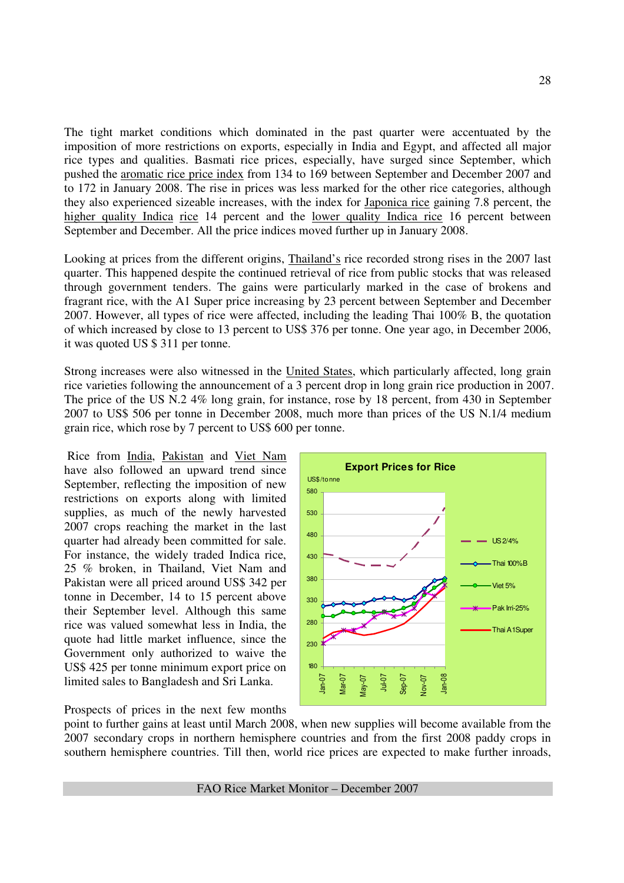The tight market conditions which dominated in the past quarter were accentuated by the imposition of more restrictions on exports, especially in India and Egypt, and affected all major rice types and qualities. Basmati rice prices, especially, have surged since September, which pushed the aromatic rice price index from 134 to 169 between September and December 2007 and to 172 in January 2008. The rise in prices was less marked for the other rice categories, although they also experienced sizeable increases, with the index for Japonica rice gaining 7.8 percent, the higher quality Indica rice 14 percent and the lower quality Indica rice 16 percent between September and December. All the price indices moved further up in January 2008.

Looking at prices from the different origins, Thailand's rice recorded strong rises in the 2007 last quarter. This happened despite the continued retrieval of rice from public stocks that was released through government tenders. The gains were particularly marked in the case of brokens and fragrant rice, with the A1 Super price increasing by 23 percent between September and December 2007. However, all types of rice were affected, including the leading Thai 100% B, the quotation of which increased by close to 13 percent to US\$ 376 per tonne. One year ago, in December 2006, it was quoted US \$ 311 per tonne.

Strong increases were also witnessed in the United States, which particularly affected, long grain rice varieties following the announcement of a 3 percent drop in long grain rice production in 2007. The price of the US N.2 4% long grain, for instance, rose by 18 percent, from 430 in September 2007 to US\$ 506 per tonne in December 2008, much more than prices of the US N.1/4 medium grain rice, which rose by 7 percent to US\$ 600 per tonne.

 Rice from India, Pakistan and Viet Nam have also followed an upward trend since September, reflecting the imposition of new restrictions on exports along with limited supplies, as much of the newly harvested 2007 crops reaching the market in the last quarter had already been committed for sale. For instance, the widely traded Indica rice, 25 % broken, in Thailand, Viet Nam and Pakistan were all priced around US\$ 342 per tonne in December, 14 to 15 percent above their September level. Although this same rice was valued somewhat less in India, the quote had little market influence, since the Government only authorized to waive the US\$ 425 per tonne minimum export price on limited sales to Bangladesh and Sri Lanka.

Prospects of prices in the next few months



point to further gains at least until March 2008, when new supplies will become available from the 2007 secondary crops in northern hemisphere countries and from the first 2008 paddy crops in southern hemisphere countries. Till then, world rice prices are expected to make further inroads,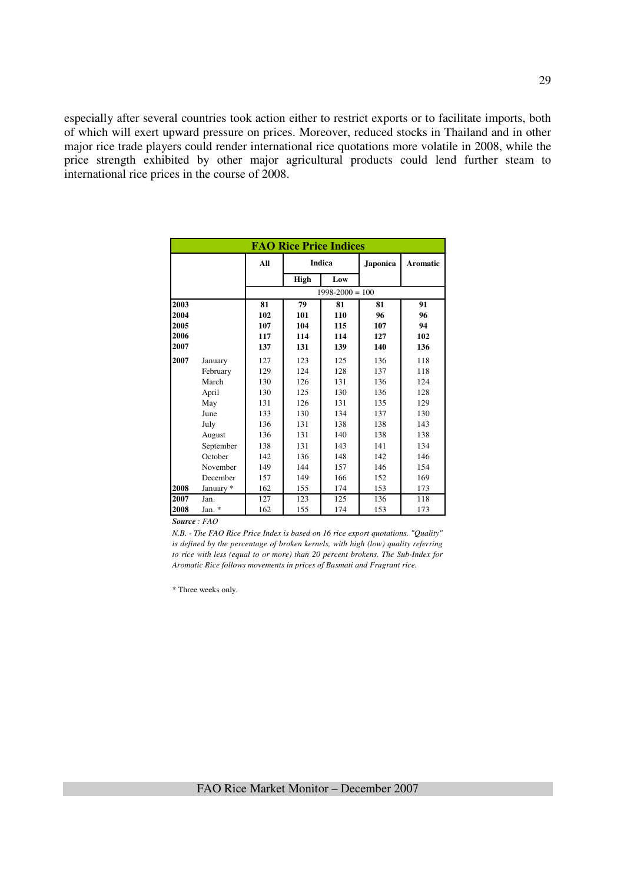especially after several countries took action either to restrict exports or to facilitate imports, both of which will exert upward pressure on prices. Moreover, reduced stocks in Thailand and in other major rice trade players could render international rice quotations more volatile in 2008, while the price strength exhibited by other major agricultural products could lend further steam to international rice prices in the course of 2008.

| <b>FAO Rice Price Indices</b> |           |     |        |                     |                 |          |  |  |  |  |
|-------------------------------|-----------|-----|--------|---------------------|-----------------|----------|--|--|--|--|
|                               |           | All | Indica |                     | <b>Japonica</b> | Aromatic |  |  |  |  |
|                               |           |     | High   | Low                 |                 |          |  |  |  |  |
|                               |           |     |        | $1998 - 2000 = 100$ |                 |          |  |  |  |  |
| 2003                          |           | 81  | 79     | 81                  | 81              | 91       |  |  |  |  |
| 2004                          |           | 102 | 101    | 110                 | 96              | 96       |  |  |  |  |
| 2005                          |           | 107 | 104    | 115                 | 107             | 94       |  |  |  |  |
| 2006                          |           | 117 | 114    | 114                 | 127             | 102      |  |  |  |  |
| 2007                          |           | 137 | 131    | 139                 | 140             | 136      |  |  |  |  |
| 2007                          | January   | 127 | 123    | 125                 | 136             | 118      |  |  |  |  |
|                               | February  | 129 | 124    | 128                 | 137             | 118      |  |  |  |  |
|                               | March     | 130 | 126    | 131                 | 136             | 124      |  |  |  |  |
|                               | April     | 130 | 125    | 130                 | 136             | 128      |  |  |  |  |
|                               | May       | 131 | 126    | 131                 | 135             | 129      |  |  |  |  |
|                               | June      | 133 | 130    | 134                 | 137             | 130      |  |  |  |  |
|                               | July      | 136 | 131    | 138                 | 138             | 143      |  |  |  |  |
|                               | August    | 136 | 131    | 140                 | 138             | 138      |  |  |  |  |
|                               | September | 138 | 131    | 143                 | 141             | 134      |  |  |  |  |
|                               | October   | 142 | 136    | 148                 | 142             | 146      |  |  |  |  |
|                               | November  | 149 | 144    | 157                 | 146             | 154      |  |  |  |  |
|                               | December  | 157 | 149    | 166                 | 152             | 169      |  |  |  |  |
| 2008                          | January * | 162 | 155    | 174                 | 153             | 173      |  |  |  |  |
| 2007                          | Jan.      | 127 | 123    | 125                 | 136             | 118      |  |  |  |  |
| 2008                          | Jan. *    | 162 | 155    | 174                 | 153             | 173      |  |  |  |  |

*N.B. - The FAO Rice Price Index is based on 16 rice export quotations. "Quality" is defined by the percentage of broken kernels, with high (low) quality referring to rice with less (equal to or more) than 20 percent brokens. The Sub-Index for Aromatic Rice follows movements in prices of Basmati and Fragrant rice.*

\* Three weeks only.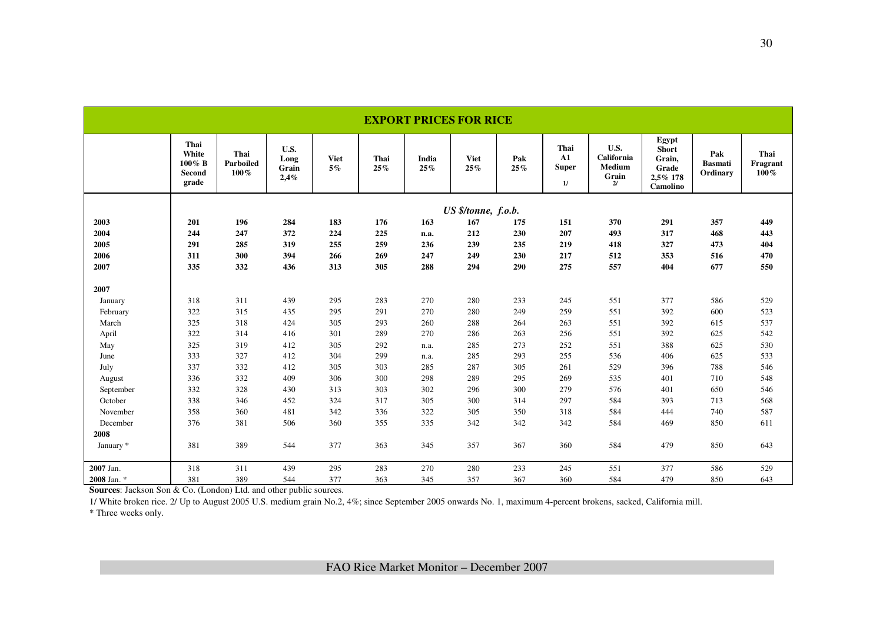|             | <b>EXPORT PRICES FOR RICE</b>              |                           |                               |                      |                |              |                     |            |                                          |                                             |                                                                  |                                   |                             |
|-------------|--------------------------------------------|---------------------------|-------------------------------|----------------------|----------------|--------------|---------------------|------------|------------------------------------------|---------------------------------------------|------------------------------------------------------------------|-----------------------------------|-----------------------------|
|             | Thai<br>White<br>100% B<br>Second<br>grade | Thai<br>Parboiled<br>100% | U.S.<br>Long<br>Grain<br>2,4% | <b>Viet</b><br>$5\%$ | Thai<br>$25\%$ | India<br>25% | <b>Viet</b><br>25%  | Pak<br>25% | Thai<br>${\bf A1}$<br><b>Super</b><br>1/ | U.S.<br>California<br>Medium<br>Grain<br>2l | Egypt<br><b>Short</b><br>Grain,<br>Grade<br>2,5% 178<br>Camolino | Pak<br><b>Basmati</b><br>Ordinary | Thai<br>Fragrant<br>$100\%$ |
|             |                                            |                           |                               |                      |                |              | US \$/tonne, f.o.b. |            |                                          |                                             |                                                                  |                                   |                             |
| 2003        | 201                                        | 196                       | 284                           | 183                  | 176            | 163          | 167                 | 175        | 151                                      | 370                                         | 291                                                              | 357                               | 449                         |
| 2004        | 244                                        | 247                       | 372                           | 224                  | 225            | n.a.         | 212                 | 230        | 207                                      | 493                                         | 317                                                              | 468                               | 443                         |
| 2005        | 291                                        | 285                       | 319                           | 255                  | 259            | 236          | 239                 | 235        | 219                                      | 418                                         | 327                                                              | 473                               | 404                         |
| 2006        | 311                                        | 300                       | 394                           | 266                  | 269            | 247          | 249                 | 230        | 217                                      | 512                                         | 353                                                              | 516                               | 470                         |
| 2007        | 335                                        | 332                       | 436                           | 313                  | 305            | 288          | 294                 | 290        | 275                                      | 557                                         | 404                                                              | 677                               | 550                         |
| 2007        |                                            |                           |                               |                      |                |              |                     |            |                                          |                                             |                                                                  |                                   |                             |
| January     | 318                                        | 311                       | 439                           | 295                  | 283            | 270          | 280                 | 233        | 245                                      | 551                                         | 377                                                              | 586                               | 529                         |
| February    | 322                                        | 315                       | 435                           | 295                  | 291            | 270          | 280                 | 249        | 259                                      | 551                                         | 392                                                              | 600                               | 523                         |
| March       | 325                                        | 318                       | 424                           | 305                  | 293            | 260          | 288                 | 264        | 263                                      | 551                                         | 392                                                              | 615                               | 537                         |
| April       | 322                                        | 314                       | 416                           | 301                  | 289            | 270          | 286                 | 263        | 256                                      | 551                                         | 392                                                              | 625                               | 542                         |
| May         | 325                                        | 319                       | 412                           | 305                  | 292            | n.a.         | 285                 | 273        | 252                                      | 551                                         | 388                                                              | 625                               | 530                         |
| June        | 333                                        | 327                       | 412                           | 304                  | 299            | n.a.         | 285                 | 293        | 255                                      | 536                                         | 406                                                              | 625                               | 533                         |
| July        | 337                                        | 332                       | 412                           | 305                  | 303            | 285          | 287                 | 305        | 261                                      | 529                                         | 396                                                              | 788                               | 546                         |
| August      | 336                                        | 332                       | 409                           | 306                  | 300            | 298          | 289                 | 295        | 269                                      | 535                                         | 401                                                              | 710                               | 548                         |
| September   | 332                                        | 328                       | 430                           | 313                  | 303            | 302          | 296                 | 300        | 279                                      | 576                                         | 401                                                              | 650                               | 546                         |
| October     | 338                                        | 346                       | 452                           | 324                  | 317            | 305          | 300                 | 314        | 297                                      | 584                                         | 393                                                              | 713                               | 568                         |
| November    | 358                                        | 360                       | 481                           | 342                  | 336            | 322          | 305                 | 350        | 318                                      | 584                                         | 444                                                              | 740                               | 587                         |
| December    | 376                                        | 381                       | 506                           | 360                  | 355            | 335          | 342                 | 342        | 342                                      | 584                                         | 469                                                              | 850                               | 611                         |
| 2008        |                                            |                           |                               |                      |                |              |                     |            |                                          |                                             |                                                                  |                                   |                             |
| January *   | 381                                        | 389                       | 544                           | 377                  | 363            | 345          | 357                 | 367        | 360                                      | 584                                         | 479                                                              | 850                               | 643                         |
| 2007 Jan.   | 318                                        | 311                       | 439                           | 295                  | 283            | 270          | 280                 | 233        | 245                                      | 551                                         | 377                                                              | 586                               | 529                         |
| 2008 Jan. * | 381                                        | 389                       | 544                           | 377                  | 363            | 345          | 357                 | 367        | 360                                      | 584                                         | 479                                                              | 850                               | 643                         |

**Sources**: Jackson Son & Co. (London) Ltd. and other public sources.

 1/ White broken rice. 2/ Up to August 2005 U.S. medium grain No.2, 4%; since September 2005 onwards No. 1, maximum 4-percent brokens, sacked, California mill. \* Three weeks only.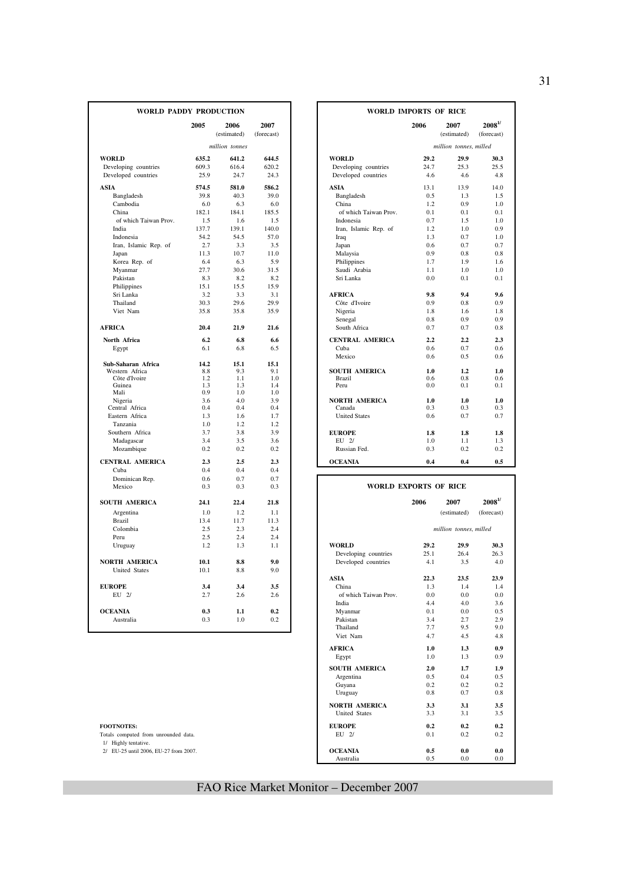| WORLD PADDY PRODUCTION               |       |                     |                    |                        | <b>WORLD IMPORTS OF RICE</b> |                        |                                             |
|--------------------------------------|-------|---------------------|--------------------|------------------------|------------------------------|------------------------|---------------------------------------------|
|                                      | 2005  | 2006<br>(estimated) | 2007<br>(forecast) |                        | 2006                         | 2007<br>(estimated)    | $\boldsymbol{2008}^{1\prime}$<br>(forecast) |
|                                      |       | million tonnes      |                    |                        |                              | million tonnes, milled |                                             |
| <b>WORLD</b>                         | 635.2 | 641.2               | 644.5              | <b>WORLD</b>           | 29.2                         | 29.9                   | 30.3                                        |
| Developing countries                 | 609.3 | 616.4               | 620.2              | Developing countries   | 24.7                         | 25.3                   | 25.5                                        |
| Developed countries                  | 25.9  | 24.7                | 24.3               | Developed countries    | 4.6                          | 4.6                    | 4.8                                         |
| <b>ASIA</b>                          | 574.5 | 581.0               | 586.2              | ASIA                   | 13.1                         | 13.9                   | 14.0                                        |
| Bangladesh                           | 39.8  | 40.3                | 39.0               | Bangladesh             | 0.5                          | 1.3                    | 1.5                                         |
| Cambodia                             | 6.0   | 6.3                 | 6.0                | China                  | 1.2                          | 0.9                    | 1.0                                         |
| China                                | 182.1 | 184.1               | 185.5              | of which Taiwan Prov.  | 0.1                          | 0.1                    | 0.1                                         |
| of which Taiwan Prov.                | 1.5   | 1.6                 | 1.5                | Indonesia              | 0.7                          | 1.5                    | 1.0                                         |
| India                                | 137.7 | 139.1               | 140.0              | Iran, Islamic Rep. of  | 1.2                          | 1.0                    | 0.9                                         |
| Indonesia                            | 54.2  | 54.5                | 57.0               | Iraq                   | 1.3                          | 0.7                    | 1.0                                         |
| Iran, Islamic Rep. of                | 2.7   | 3.3                 | 3.5                | Japan                  | 0.6                          | 0.7                    | 0.7                                         |
| Japan                                | 11.3  | 10.7                | 11.0               | Malaysia               | 0.9                          | 0.8                    | 0.8                                         |
| Korea Rep. of                        | 6.4   | 6.3                 | 5.9                | Philippines            | 1.7                          | 1.9                    | 1.6                                         |
| Myanmar                              | 27.7  | 30.6                | 31.5               | Saudi Arabia           | 1.1                          | 1.0                    | 1.0                                         |
| Pakistan                             | 8.3   | 8.2                 | 8.2                | Sri Lanka              | 0.0                          | 0.1                    | 0.1                                         |
| Philippines                          | 15.1  | 15.5                | 15.9               |                        |                              |                        |                                             |
| Sri Lanka                            | 3.2   | 3.3                 | 3.1                | <b>AFRICA</b>          | 9.8                          | 9.4                    | 9.6                                         |
| Thailand                             | 30.3  | 29.6                | 29.9               | Côte d'Ivoire          | 0.9                          | 0.8                    | 0.9                                         |
| Viet Nam                             | 35.8  | 35.8                | 35.9               | Nigeria                | 1.8                          | 1.6                    | 1.8                                         |
|                                      |       |                     |                    | Senegal                | 0.8                          | 0.9                    | 0.9                                         |
| <b>AFRICA</b>                        | 20.4  | 21.9                | 21.6               | South Africa           | 0.7                          | 0.7                    | 0.8                                         |
| North Africa                         | 6.2   | 6.8                 | 6.6                | <b>CENTRAL AMERICA</b> | 2.2                          | 2.2                    | 2.3                                         |
| Egypt                                | 6.1   | 6.8                 | 6.5                | Cuba                   | 0.6                          | 0.7                    | 0.6                                         |
|                                      | 14.2  | 15.1                | 15.1               | Mexico                 | 0.6                          | 0.5                    | 0.6                                         |
| Sub-Saharan Africa<br>Western Africa | 8.8   | 9.3                 | 9.1                | <b>SOUTH AMERICA</b>   | 1.0                          | 1.2                    | 1.0                                         |
| Côte d'Ivoire                        | 1.2   | 1.1                 | 1.0                | <b>Brazil</b>          | 0.6                          | 0.8                    | 0.6                                         |
| Guinea                               | 1.3   | 1.3                 | 1.4                | Peru                   | 0.0                          | 0.1                    | 0.1                                         |
| Mali                                 | 0.9   | 1.0                 | 1.0                |                        |                              |                        |                                             |
| Nigeria                              | 3.6   | 4.0                 | 3.9                | <b>NORTH AMERICA</b>   | 1.0                          | 1.0                    | 1.0                                         |
| Central Africa                       | 0.4   | 0.4                 | 0.4                | Canada                 | 0.3                          | 0.3                    | 0.3                                         |
| Eastern Africa                       | 1.3   | 1.6                 | 1.7                | <b>United States</b>   | 0.6                          | 0.7                    | 0.7                                         |
| Tanzania                             | 1.0   | 1.2                 | 1.2                |                        |                              |                        |                                             |
| Southern Africa                      | 3.7   | 3.8                 | 3.9                | <b>EUROPE</b>          | 1.8                          | 1.8                    | 1.8                                         |
| Madagascar                           | 3.4   | 3.5                 | 3.6                | EU 2/                  | 1.0                          | 1.1                    | 1.3                                         |
| Mozambique                           | 0.2   | 0.2                 | 0.2                | Russian Fed.           | 0.3                          | 0.2                    | 0.2                                         |
| <b>CENTRAL AMERICA</b>               | 2.3   | 2.5                 | 2.3                | <b>OCEANIA</b>         | 0.4                          | 0.4                    | 0.5                                         |
| Cuba                                 | 0.4   | 0.4                 | 0.4                |                        |                              |                        |                                             |
| Dominican Rep.                       | 0.6   | 0.7                 | 0.7                |                        |                              |                        |                                             |
| Mexico                               | 0.3   | 0.3                 | 0.3                |                        | <b>WORLD EXPORTS OF RICE</b> |                        |                                             |
| SOUTH AMERICA                        | 24.1  | 22.4                | 21.8               |                        | 2006                         | 2007                   | $\boldsymbol{2008}^{1\prime}$               |
| Argentina                            | 1.0   | 1.2                 | 1.1                |                        |                              | (estimated)            | (forecast)                                  |
| <b>Brazil</b>                        | 13.4  | 11.7                | 11.3               |                        |                              |                        |                                             |
| Colombia                             | 2.5   | 2.3                 | 2.4                |                        |                              | million tonnes, milled |                                             |
| Peru                                 | 2.5   | 2.4                 | 2.4                |                        |                              |                        |                                             |
| Uruguay                              | 1.2   | 1.3                 | 1.1                | <b>WORLD</b>           | 29.2                         | 29.9                   | 30.3                                        |
|                                      |       |                     |                    | Developing countries   | 25.1                         | 26.4                   | 26.3                                        |
| <b>NORTH AMERICA</b>                 | 10.1  | 8.8                 | 9.0                | Developed countries    | 4.1                          | 3.5                    | 4.0                                         |
| <b>United States</b>                 | 10.1  | 8.8                 | 9.0                |                        |                              |                        |                                             |
|                                      |       |                     |                    | <b>ASIA</b>            | 22.3                         | 23.5                   | 23.9                                        |
| <b>EUROPE</b>                        | 3.4   | 3.4                 | 3.5                | China                  | 1.3                          | 1.4                    | 1.4                                         |
| $EU$ 2/                              | 2.7   | 2.6                 | 2.6                | of which Taiwan Prov.  | 0.0                          | 0.0                    | 0.0                                         |
|                                      |       |                     |                    | India                  | 4.4                          | 4.0                    | 3.6                                         |
| <b>OCEANIA</b>                       | 0.3   | 1.1                 | 0.2                | Myanmar                | 0.1                          | 0.0                    | 0.5                                         |
| Australia                            | 0.3   | 1.0                 | 0.2                | Pakistan               | 3.4                          | 2.7                    | 2.9                                         |
|                                      |       |                     |                    | Thailand               | 7.7                          | 9.5                    | 9.0                                         |

|             | DY PRODUCTION       |                    | <b>WORLD IMPORTS OF RICE</b> |      |                        |                            |  |  |  |
|-------------|---------------------|--------------------|------------------------------|------|------------------------|----------------------------|--|--|--|
| 2005        | 2006<br>(estimated) | 2007<br>(forecast) |                              | 2006 | 2007<br>(estimated)    | $2008^{1/2}$<br>(forecast) |  |  |  |
|             | million tonnes      |                    |                              |      | million tonnes, milled |                            |  |  |  |
| 635.2       | 641.2               | 644.5              | <b>WORLD</b>                 | 29.2 | 29.9                   | 30.3                       |  |  |  |
| 609.3       | 616.4               | 620.2              | Developing countries         | 24.7 | 25.3                   | 25.5                       |  |  |  |
| 25.9        | 24.7                | 24.3               | Developed countries          | 4.6  | 4.6                    |                            |  |  |  |
| 574.5       | 581.0               | 586.2              | <b>ASIA</b>                  | 13.1 | 13.9                   | 14.0                       |  |  |  |
| 39.8        | 40.3                | 39.0               | Bangladesh                   | 0.5  | 1.3                    |                            |  |  |  |
| 6.0         | 6.3                 | 6.0                | China                        | 1.2  | 0.9                    |                            |  |  |  |
| 182.1       | 184.1               | 185.5              | of which Taiwan Prov.        | 0.1  | 0.1                    |                            |  |  |  |
| 1.5         | 1.6                 | 1.5                | Indonesia                    | 0.7  | 1.5                    | 1.0                        |  |  |  |
| 137.7       | 139.1               | 140.0              | Iran, Islamic Rep. of        | 1.2  | 1.0                    | 0.9                        |  |  |  |
| 54.2        | 54.5                | 57.0               | Iraq                         | 1.3  | 0.7                    | 1.0                        |  |  |  |
| 2.7         | 3.3                 | 3.5                | Japan                        | 0.6  | 0.7                    | 0.7                        |  |  |  |
| 11.3        | 10.7                | 11.0               | Malaysia                     | 0.9  | 0.8                    | 0.8                        |  |  |  |
| 6.4         | 6.3                 | 5.9                | Philippines                  | 1.7  | 1.9                    |                            |  |  |  |
| 27.7        | 30.6                | 31.5               | Saudi Arabia                 | 1.1  | 1.0                    |                            |  |  |  |
| 8.3         | 8.2                 | 8.2                | Sri Lanka                    | 0.0  | 0.1                    | 0.1                        |  |  |  |
| 15.1        | 15.5                | 15.9               |                              |      |                        |                            |  |  |  |
| 3.2         | 3.3                 | 3.1                | <b>AFRICA</b>                | 9.8  | 9.4                    |                            |  |  |  |
| 30.3        | 29.6                | 29.9               | Côte d'Ivoire                | 0.9  | 0.8                    | 0.9                        |  |  |  |
| 35.8        | 35.8                | 35.9               | Nigeria                      | 1.8  | 1.6                    |                            |  |  |  |
|             |                     |                    | Senegal                      | 0.8  | 0.9                    |                            |  |  |  |
| 20.4        | 21.9                | 21.6               | South Africa                 | 0.7  | 0.7                    | 0.8                        |  |  |  |
| 6.2         | 6.8                 | 6.6                | <b>CENTRAL AMERICA</b>       | 2.2  | 2.2                    |                            |  |  |  |
| 6.1         | 6.8                 | 6.5                | Cuba                         | 0.6  | 0.7                    | 0.6                        |  |  |  |
|             |                     |                    | Mexico                       | 0.6  | 0.5                    | $0.6^{\circ}$              |  |  |  |
| 14.2<br>8.8 | 15.1<br>9.3         | 15.1<br>9.1        | <b>SOUTH AMERICA</b>         | 1.0  | 1.2                    |                            |  |  |  |
| 1.2         | 1.1                 | 1.0                | <b>Brazil</b>                | 0.6  | 0.8                    | 1.0<br>0.6                 |  |  |  |
| 1.3         | 1.3                 | 1.4                | Peru                         | 0.0  | 0.1                    | 0.1                        |  |  |  |
| 0.9         | 1.0                 | 1.0                |                              |      |                        |                            |  |  |  |
| 3.6         | 4.0                 | 3.9                | <b>NORTH AMERICA</b>         | 1.0  | 1.0                    |                            |  |  |  |
| 0.4         | 0.4                 | 0.4                | Canada                       | 0.3  | 0.3                    |                            |  |  |  |
| 1.3         | 1.6                 | 1.7                | <b>United States</b>         | 0.6  | 0.7                    |                            |  |  |  |
| 1.0         | 1.2                 | 1.2                |                              |      |                        |                            |  |  |  |
| 3.7         | 3.8                 | 3.9                | <b>EUROPE</b>                | 1.8  | 1.8                    |                            |  |  |  |
| 3.4         | 3.5                 | 3.6                | $EII$ 2/                     | 1.0  | 1.1                    |                            |  |  |  |
| 0.2         | 0.2                 | 0.2                | Russian Fed.                 | 0.3  | 0.2                    | 0.2                        |  |  |  |
| 2.3         | 2.5                 | 2.3                | <b>OCEANIA</b>               | 0.4  | 0.4                    | 0.5                        |  |  |  |
| 0.4         | 0.4                 | 0.4                |                              |      |                        |                            |  |  |  |

| роншисан кер.                         | v.v  | $v \cdot r$ | ν.,  |                              |      |                        |
|---------------------------------------|------|-------------|------|------------------------------|------|------------------------|
| Mexico                                | 0.3  | 0.3         | 0.3  | <b>WORLD EXPORTS OF RICE</b> |      |                        |
| SOUTH AMERICA                         | 24.1 | 22.4        | 21.8 |                              | 2006 | 2007                   |
| Argentina                             | 1.0  | 1.2         | 1.1  |                              |      | (estimated)            |
| Brazil                                | 13.4 | 11.7        | 11.3 |                              |      |                        |
| Colombia                              | 2.5  | 2.3         | 2.4  |                              |      | million tonnes, milled |
| Peru                                  | 2.5  | 2.4         | 2.4  |                              |      |                        |
| Uruguay                               | 1.2  | 1.3         | 1.1  | <b>WORLD</b>                 | 29.2 | 29.9                   |
|                                       |      |             |      | Developing countries         | 25.1 | 26.4                   |
| <b>NORTH AMERICA</b>                  | 10.1 | 8.8         | 9.0  | Developed countries          | 4.1  | 3.5                    |
| <b>United States</b>                  | 10.1 | 8.8         | 9.0  |                              |      |                        |
|                                       |      |             |      | <b>ASIA</b>                  | 22.3 | 23.5                   |
| <b>EUROPE</b>                         | 3.4  | 3.4         | 3.5  | China                        | 1.3  | 1.4                    |
| $EU$ 2/                               | 2.7  | 2.6         | 2.6  | of which Taiwan Prov.        | 0.0  | 0.0                    |
|                                       |      |             |      | India                        | 4.4  | 4.0                    |
| <b>OCEANIA</b>                        | 0.3  | 1.1         | 0.2  | Myanmar                      | 0.1  | 0.0                    |
| Australia                             | 0.3  | 1.0         | 0.2  | Pakistan                     | 3.4  | 2.7                    |
|                                       |      |             |      | Thailand                     | 7.7  | 9.5                    |
|                                       |      |             |      | Viet Nam                     | 4.7  | 4.5                    |
|                                       |      |             |      | <b>AFRICA</b>                | 1.0  | 1.3                    |
|                                       |      |             |      | Egypt                        | 1.0  | 1.3                    |
|                                       |      |             |      | <b>SOUTH AMERICA</b>         | 2.0  | 1.7                    |
|                                       |      |             |      | Argentina                    | 0.5  | 0.4                    |
|                                       |      |             |      | Guyana                       | 0.2  | 0.2                    |
|                                       |      |             |      | Uruguay                      | 0.8  | 0.7                    |
|                                       |      |             |      | <b>NORTH AMERICA</b>         | 3.3  | 3.1                    |
|                                       |      |             |      | <b>United States</b>         | 3.3  | 3.1                    |
| <b>FOOTNOTES:</b>                     |      |             |      | <b>EUROPE</b>                | 0.2  | 0.2                    |
| Totals computed from unrounded data.  |      |             |      | EU 2/                        | 0.1  | 0.2                    |
| 1/ Highly tentative.                  |      |             |      |                              |      |                        |
| 2/ EU-25 until 2006, EU-27 from 2007. |      |             |      | <b>OCEANIA</b>               | 0.5  | 0.0                    |
|                                       |      |             |      | Australia                    | 0.5  | 0.0                    |